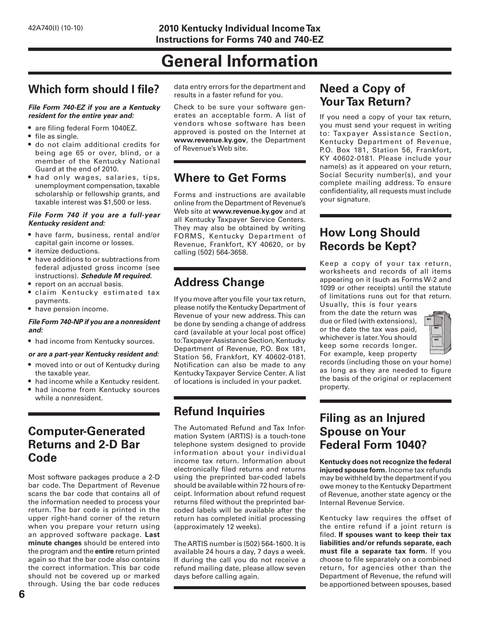# **General Information**

# **Which form should I file?**

#### *File Form 740-EZ if you are a Kentucky resident for the entire year and:*

- are filing federal Form 1040EZ.
- file as single.
- do not claim additional credits for being age 65 or over, blind, or a member of the Kentucky National Guard at the end of 2010.
- had only wages, salaries, tips, unemployment compensation, taxable scholarship or fellowship grants, and taxable interest was \$1,500 or less.

#### *File Form 740 if you are a full-year Kentucky resident and:*

- have farm, business, rental and/or capital gain income or losses.
- itemize deductions.
- have additions to or subtractions from federal adjusted gross income (see instructions). *Schedule M required.*
- report on an accrual basis.
- claim Kentucky estimated tax payments.
- have pension income.

#### *File Form 740-NP if you are a nonresident and:*

• had income from Kentucky sources.

#### *or are a part-year Kentucky resident and:*

- moved into or out of Kentucky during the taxable year.
- had income while a Kentucky resident.
- had income from Kentucky sources while a nonresident.

### **Computer-Generated Returns and 2-D Bar Code**

Most software packages produce a 2-D bar code. The Department of Revenue scans the bar code that contains all of the information needed to process your return. The bar code is printed in the upper right-hand corner of the return when you prepare your return using an approved software package. **Last minute changes** should be entered into the program and the **entire** return printed again so that the bar code also contains the correct information. This bar code should not be covered up or marked through. Using the bar code reduces

data entry errors for the department and results in a faster refund for you.

Check to be sure your software generates an acceptable form. A list of vendors whose software has been approved is posted on the Internet at **www.revenue.ky.gov**, the Department of Revenue's Web site.

# **Where to Get Forms**

Forms and instructions are available online from the Department of Revenue's Web site at **www.revenue.ky.gov** and at all Kentucky Taxpayer Service Centers. They may also be obtained by writing FORMS, Kentucky Department of Revenue, Frankfort, KY 40620, or by calling (502) 564-3658.

# **Address Change**

If you move after you file your tax return, please notify the Kentucky Department of Revenue of your new address. This can be done by sending a change of address card (available at your local post office) to: Taxpayer Assistance Section, Kentucky Department of Revenue, P.O. Box 181, Station 56, Frankfort, KY 40602-0181. Notification can also be made to any Kentucky Taxpayer Service Center. A list of locations is included in your packet.

# **Refund Inquiries**

The Automated Refund and Tax Information System (ARTIS) is a touch-tone telephone system designed to provide information about your individual income tax return. Information about electronically filed returns and returns using the preprinted bar-coded labels should be available within 72 hours of receipt. Information about refund request returns filed without the preprinted barcoded labels will be available after the return has completed initial processing (approximately 12 weeks).

The ARTIS number is (502) 564-1600. It is available 24 hours a day, 7 days a week. If during the call you do not receive a refund mailing date, please allow seven days before calling again.

# **Need a Copy of Your Tax Return?**

If you need a copy of your tax return, you must send your request in writing to: Taxpayer Assistance Section, Kentucky Department of Revenue, P.O. Box 181, Station 56, Frankfort, KY 40602-0181. Please include your name(s) as it appeared on your return, Social Security number(s), and your complete mailing address. To ensure confidentiality, all requests must include your signature.

# **How Long Should Records be Kept?**

Keep a copy of your tax return, worksheets and records of all items appearing on it (such as Forms W-2 and 1099 or other receipts) until the statute of limitations runs out for that return.

Usually, this is four years from the date the return was due or filed (with extensions), or the date the tax was paid, whichever is later. You should keep some records longer. For example, keep property



records (including those on your home) as long as they are needed to figure the basis of the original or replacement property.

## **Filing as an Injured Spouse on Your Federal Form 1040?**

**Kentucky does not recognize the federal injured spouse form.** Income tax refunds may be withheld by the department if you owe money to the Kentucky Department of Revenue, another state agency or the Internal Revenue Service.

Kentucky law requires the offset of the entire refund if a joint return is filed. **If spouses want to keep their tax liabilities and/or refunds separate, each must file a separate tax form.** If you choose to file separately on a combined return, for agencies other than the Department of Revenue, the refund will be apportioned between spouses, based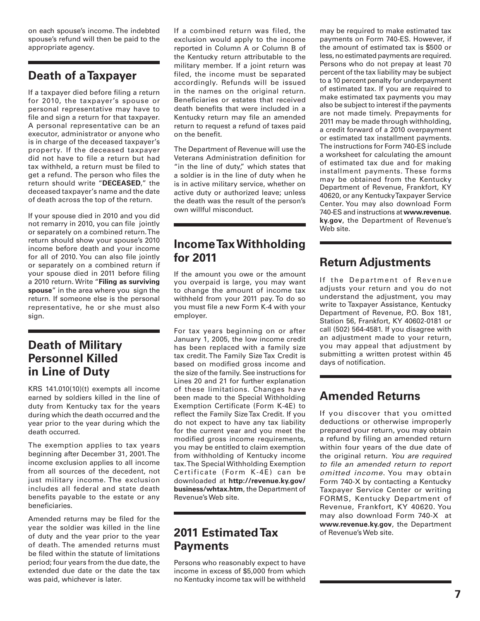on each spouse's income. The indebted spouse's refund will then be paid to the appropriate agency.

# **Death of a Taxpayer**

If a taxpayer died before filing a return for 2010, the taxpayer's spouse or personal representative may have to file and sign a return for that taxpayer. A personal representative can be an executor, administrator or anyone who is in charge of the deceased taxpayer's property. If the deceased taxpayer did not have to file a return but had tax withheld, a return must be filed to get a refund. The person who files the return should write "**DECEASED**," the deceased taxpayer's name and the date of death across the top of the return.

If your spouse died in 2010 and you did not remarry in 2010, you can file jointly or separately on a combined return. The return should show your spouse's 2010 income before death and your income for all of 2010. You can also file jointly or separately on a combined return if your spouse died in 2011 before filing a 2010 return. Write "**Filing as surviving spouse**" in the area where you sign the return. If someone else is the personal representative, he or she must also sign.

# **Death of Military Personnel Killed in Line of Duty**

KRS 141.010(10)(t) exempts all income earned by soldiers killed in the line of duty from Kentucky tax for the years during which the death occurred and the year prior to the year during which the death occurred.

The exemption applies to tax years beginning after December 31, 2001. The income exclusion applies to all income from all sources of the decedent, not just military income. The exclusion includes all federal and state death benefits payable to the estate or any beneficiaries.

Amended returns may be filed for the year the soldier was killed in the line of duty and the year prior to the year of death. The amended returns must be filed within the statute of limitations period; four years from the due date, the extended due date or the date the tax was paid, whichever is later.

If a combined return was filed, the exclusion would apply to the income reported in Column A or Column B of the Kentucky return attributable to the military member. If a joint return was filed, the income must be separated accordingly. Refunds will be issued in the names on the original return. Beneficiaries or estates that received death benefits that were included in a Kentucky return may file an amended return to request a refund of taxes paid on the benefit.

The Department of Revenue will use the Veterans Administration definition for "in the line of duty," which states that a soldier is in the line of duty when he is in active military service, whether on active duty or authorized leave; unless the death was the result of the person's own willful misconduct.

# **Income Tax Withholding for 2011**

If the amount you owe or the amount you overpaid is large, you may want to change the amount of income tax withheld from your 2011 pay. To do so you must file a new Form K-4 with your employer.

For tax years beginning on or after January 1, 2005, the low income credit has been replaced with a family size tax credit. The Family Size Tax Credit is based on modified gross income and the size of the family. See instructions for Lines 20 and 21 for further explanation of these limitations. Changes have been made to the Special Withholding Exemption Certificate (Form K-4E) to reflect the Family Size Tax Credit. If you do not expect to have any tax liability for the current year and you meet the modified gross income requirements, you may be entitled to claim exemption from withholding of Kentucky income tax. The Special Withholding Exemption Certificate (Form K-4E) can be downloaded at **http://revenue.ky.gov/ business/whtax.htm**, the Department of Revenue's Web site.

## **2011 Estimated Tax Payments**

Persons who reasonably expect to have income in excess of \$5,000 from which no Kentucky income tax will be withheld may be required to make estimated tax payments on Form 740-ES. However, if the amount of estimated tax is \$500 or less, no estimated payments are required. Persons who do not prepay at least 70 percent of the tax liability may be subject to a 10 percent penalty for underpayment of estimated tax. If you are required to make estimated tax payments you may also be subject to interest if the payments are not made timely. Prepayments for 2011 may be made through withholding, a credit forward of a 2010 overpayment or estimated tax installment payments. The instructions for Form 740-ES include a worksheet for calculating the amount of estimated tax due and for making installment payments. These forms may be obtained from the Kentucky Department of Revenue, Frankfort, KY 40620, or any Kentucky Taxpayer Service Center. You may also download Form 740-ES and instructions at **www.revenue. ky.gov**, the Department of Revenue's Web site.

# **Return Adjustments**

If the Department of Revenue adjusts your return and you do not understand the adjustment, you may write to Taxpayer Assistance, Kentucky Department of Revenue, P.O. Box 181, Station 56, Frankfort, KY 40602-0181 or call (502) 564-4581. If you disagree with an adjustment made to your return, you may appeal that adjustment by submitting a written protest within 45 days of notification.

# **Amended Returns**

If you discover that you omitted deductions or otherwise improperly prepared your return, you may obtain a refund by filing an amended return within four years of the due date of the original return. *You are required to file an amended return to report omitted income*. You may obtain Form 740-X by contacting a Kentucky Taxpayer Service Center or writing FORMS, Kentucky Department of Revenue, Frankfort, KY 40620. You may also download Form 740-X at **www.revenue.ky.gov**, the Department of Revenue's Web site.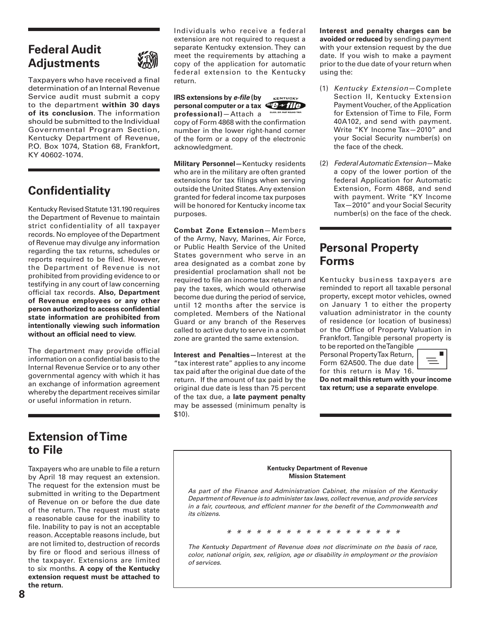### **Federal Audit Adjustments**



Taxpayers who have received a final determination of an Internal Revenue Service audit must submit a copy to the department **within 30 days of its conclusion**. The information should be submitted to the Individual Governmental Program Section, Kentucky Department of Revenue, P.O. Box 1074, Station 68, Frankfort, KY 40602-1074.

# **Confidentiality**

Kentucky Revised Statute 131.190 requires the Department of Revenue to maintain strict confidentiality of all taxpayer records. No employee of the Department of Revenue may divulge any information regarding the tax returns, schedules or reports required to be filed. However, the Department of Revenue is not prohibited from providing evidence to or testifying in any court of law concerning official tax records. **Also, Department of Revenue employees or any other person authorized to access confidential state information are prohibited from intentionally viewing such information without an official need to view.** 

The department may provide official information on a confidential basis to the Internal Revenue Service or to any other governmental agency with which it has an exchange of information agreement whereby the department receives similar or useful information in return.

Individuals who receive a federal extension are not required to request a separate Kentucky extension. They can meet the requirements by attaching a copy of the application for automatic federal extension to the Kentucky return.

**IRS extensions by** *e-file* **(by**  VENTURES **personal computer or a tax**  $\frac{d^{rs}}{ds^{2}}$  **if**  $\frac{d^{rs}}{ds^{2}}$ **professional)**—Attach a

copy of Form 4868 with the confirmation number in the lower right-hand corner of the form or a copy of the electronic acknowledgment.

**Military Personnel—**Kentucky residents who are in the military are often granted extensions for tax filings when serving outside the United States. Any extension granted for federal income tax purposes will be honored for Kentucky income tax purposes.

**Combat Zone Extension**—Members of the Army, Navy, Marines, Air Force, or Public Health Service of the United States government who serve in an area designated as a combat zone by presidential proclamation shall not be required to file an income tax return and pay the taxes, which would otherwise become due during the period of service, until 12 months after the service is completed. Members of the National Guard or any branch of the Reserves called to active duty to serve in a combat zone are granted the same extension.

**Interest and Penalties—**Interest at the "tax interest rate" applies to any income tax paid after the original due date of the return. If the amount of tax paid by the original due date is less than 75 percent of the tax due, a **late payment penalty** may be assessed (minimum penalty is \$10).

**Interest and penalty charges can be avoided or reduced** by sending payment with your extension request by the due date. If you wish to make a payment prior to the due date of your return when using the:

- (1) *Kentucky Extension*—Complete Section II, Kentucky Extension Payment Voucher, of the Application for Extension of Time to File, Form 40A102, and send with payment. Write "KY Income Tax—2010" and your Social Security number(s) on the face of the check.
- (2) *Federal Automatic Extension*—Make a copy of the lower portion of the federal Application for Automatic Extension, Form 4868, and send with payment. Write "KY Income Tax—2010" and your Social Security number(s) on the face of the check.

# **Personal Property Forms**

Kentucky business taxpayers are reminded to report all taxable personal property, except motor vehicles, owned on January 1 to either the property valuation administrator in the county of residence (or location of business) or the Office of Property Valuation in Frankfort. Tangible personal property is to be reported on the Tangible

Personal Property Tax Return, Form 62A500. The due date for this return is May 16.



**Do not mail this return with your income tax return; use a separate envelope**.

### **Extension of Time to File**

Taxpayers who are unable to file a return by April 18 may request an extension. The request for the extension must be submitted in writing to the Department of Revenue on or before the due date of the return. The request must state a reasonable cause for the inability to file. Inability to pay is not an acceptable reason. Acceptable reasons include, but are not limited to, destruction of records by fire or flood and serious illness of the taxpayer. Extensions are limited to six months. **A copy of the Kentucky extension request must be attached to the return.** 

**Kentucky Department of Revenue Mission Statement** *As part of the Finance and Administration Cabinet, the mission of the Kentucky Department of Revenue is to administer tax laws, collect revenue, and provide services in a fair, courteous, and efficient manner for the benefit of the Commonwealth and its citizens. \* \* \* \* \* \* \* \* \* \* \* \* \* \* \* \* \* \**

*The Kentucky Department of Revenue does not discriminate on the basis of race, color, national origin, sex, religion, age or disability in employment or the provision of services.*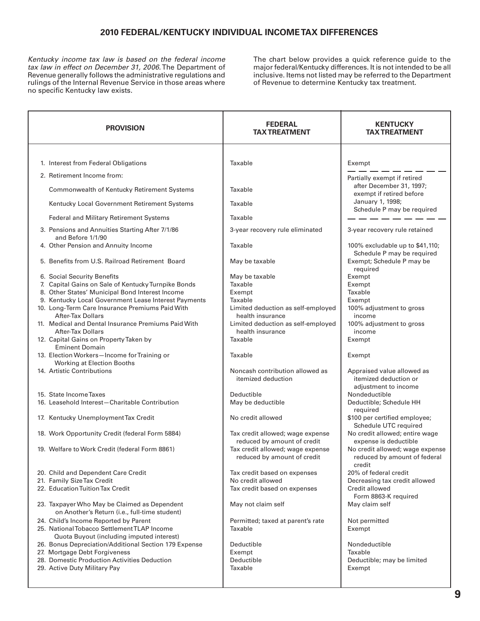### **2010 FEDERAL/KENTUCKY INDIVIDUAL INCOME TAX DIFFERENCES**

*Kentucky income tax law is based on the federal income tax law in effect on December 31, 2006.* The Department of Revenue generally follows the administrative regulations and rulings of the Internal Revenue Service in those areas where no specific Kentucky law exists.

The chart below provides a quick reference guide to the major federal/Kentucky differences. It is not intended to be all inclusive. Items not listed may be referred to the Department of Revenue to determine Kentucky tax treatment.

| <b>PROVISION</b>                                                                              | <b>FEDERAL</b><br><b>TAX TREATMENT</b>                          | <b>KENTUCKY</b><br><b>TAX TREATMENT</b>                                     |  |  |
|-----------------------------------------------------------------------------------------------|-----------------------------------------------------------------|-----------------------------------------------------------------------------|--|--|
| 1. Interest from Federal Obligations                                                          | Taxable                                                         | Exempt                                                                      |  |  |
| 2. Retirement Income from:                                                                    |                                                                 | Partially exempt if retired                                                 |  |  |
| <b>Commonwealth of Kentucky Retirement Systems</b>                                            | Taxable                                                         | after December 31, 1997;<br>exempt if retired before                        |  |  |
| Kentucky Local Government Retirement Systems                                                  | Taxable                                                         | January 1, 1998;<br>Schedule P may be required                              |  |  |
| Federal and Military Retirement Systems                                                       | Taxable                                                         |                                                                             |  |  |
| 3. Pensions and Annuities Starting After 7/1/86<br>and Before 1/1/90                          | 3-year recovery rule eliminated                                 | 3-year recovery rule retained                                               |  |  |
| 4. Other Pension and Annuity Income                                                           | Taxable                                                         | 100% excludable up to \$41,110;<br>Schedule P may be required               |  |  |
| 5. Benefits from U.S. Railroad Retirement Board                                               | May be taxable                                                  | Exempt; Schedule P may be<br>required                                       |  |  |
| 6. Social Security Benefits                                                                   | May be taxable                                                  | Exempt                                                                      |  |  |
| 7. Capital Gains on Sale of Kentucky Turnpike Bonds                                           | Taxable                                                         | Exempt                                                                      |  |  |
| 8. Other States' Municipal Bond Interest Income                                               | Exempt                                                          | Taxable                                                                     |  |  |
| 9. Kentucky Local Government Lease Interest Payments                                          | Taxable                                                         | Exempt                                                                      |  |  |
| 10. Long-Term Care Insurance Premiums Paid With<br><b>After-Tax Dollars</b>                   | Limited deduction as self-employed<br>health insurance          | 100% adjustment to gross<br>income                                          |  |  |
| 11. Medical and Dental Insurance Premiums Paid With<br><b>After-Tax Dollars</b>               | Limited deduction as self-employed<br>health insurance          | 100% adjustment to gross<br>income                                          |  |  |
| 12. Capital Gains on Property Taken by<br><b>Eminent Domain</b>                               | Taxable                                                         | Exempt                                                                      |  |  |
| 13. Election Workers-Income for Training or<br>Working at Election Booths                     | Taxable                                                         | Exempt                                                                      |  |  |
| 14. Artistic Contributions                                                                    | Noncash contribution allowed as<br>itemized deduction           | Appraised value allowed as<br>itemized deduction or<br>adjustment to income |  |  |
| 15. State Income Taxes                                                                        | Deductible                                                      | Nondeductible                                                               |  |  |
| 16. Leasehold Interest-Charitable Contribution                                                | May be deductible                                               | Deductible; Schedule HH<br>required                                         |  |  |
| 17. Kentucky Unemployment Tax Credit                                                          | No credit allowed                                               | \$100 per certified employee;<br>Schedule UTC required                      |  |  |
| 18. Work Opportunity Credit (federal Form 5884)                                               | Tax credit allowed; wage expense<br>reduced by amount of credit | No credit allowed; entire wage<br>expense is deductible                     |  |  |
| 19. Welfare to Work Credit (federal Form 8861)                                                | Tax credit allowed; wage expense<br>reduced by amount of credit | No credit allowed; wage expense<br>reduced by amount of federal<br>credit   |  |  |
| 20. Child and Dependent Care Credit                                                           | Tax credit based on expenses                                    | 20% of federal credit                                                       |  |  |
| 21. Family Size Tax Credit                                                                    | No credit allowed                                               | Decreasing tax credit allowed                                               |  |  |
| 22. Education Tuition Tax Credit                                                              | Tax credit based on expenses                                    | Credit allowed<br>Form 8863-K required                                      |  |  |
| 23. Taxpayer Who May be Claimed as Dependent<br>on Another's Return (i.e., full-time student) | May not claim self                                              | May claim self                                                              |  |  |
| 24. Child's Income Reported by Parent<br>25. National Tobacco Settlement TLAP Income          | Permitted; taxed at parent's rate<br>Taxable                    | Not permitted<br>Exempt                                                     |  |  |
| Quota Buyout (including imputed interest)                                                     |                                                                 |                                                                             |  |  |
| 26. Bonus Depreciation/Additional Section 179 Expense                                         | Deductible                                                      | Nondeductible                                                               |  |  |
| 27. Mortgage Debt Forgiveness                                                                 | Exempt                                                          | Taxable                                                                     |  |  |
| 28. Domestic Production Activities Deduction                                                  | Deductible                                                      | Deductible; may be limited                                                  |  |  |
| 29. Active Duty Military Pay                                                                  | Taxable                                                         | Exempt                                                                      |  |  |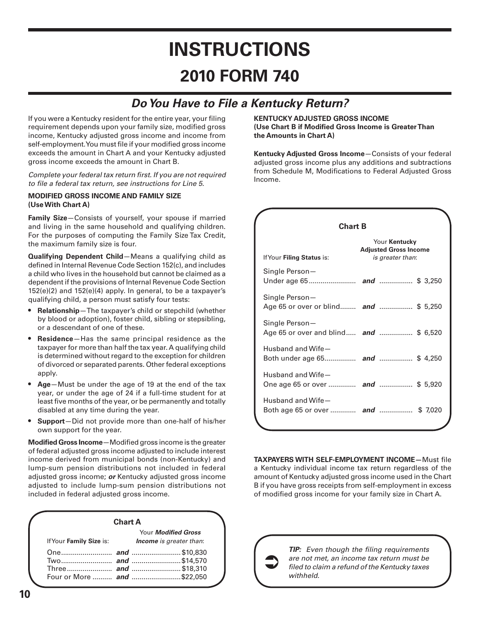# **INSTRUCTIONS 2010 FORM 740**

# *Do You Have to File a Kentucky Return?*

If you were a Kentucky resident for the entire year, your filing requirement depends upon your family size, modified gross income, Kentucky adjusted gross income and income from self-employment. You must file if your modified gross income exceeds the amount in Chart A and your Kentucky adjusted gross income exceeds the amount in Chart B.

*Complete your federal tax return first. If you are not required to file a federal tax return, see instructions for Line 5.*

#### **MODIFIED GROSS INCOME AND FAMILY SIZE (Use With Chart A)**

**Family Size**—Consists of yourself, your spouse if married and living in the same household and qualifying children. For the purposes of computing the Family Size Tax Credit, the maximum family size is four.

**Qualifying Dependent Child**—Means a qualifying child as defined in Internal Revenue Code Section 152(c), and includes a child who lives in the household but cannot be claimed as a dependent if the provisions of Internal Revenue Code Section 152(e)(2) and 152(e)(4) apply. In general, to be a taxpayer's qualifying child, a person must satisfy four tests:

- **Relationship**—The taxpayer's child or stepchild (whether by blood or adoption), foster child, sibling or stepsibling, or a descendant of one of these.
- **Residence**—Has the same principal residence as the taxpayer for more than half the tax year. A qualifying child is determined without regard to the exception for children of divorced or separated parents. Other federal exceptions apply.
- **Age**—Must be under the age of 19 at the end of the tax year, or under the age of 24 if a full-time student for at least five months of the year, or be permanently and totally disabled at any time during the year.
- **Support**—Did not provide more than one-half of his/her own support for the year.

**Modified Gross Income**—Modified gross income is the greater of federal adjusted gross income adjusted to include interest income derived from municipal bonds (non-Kentucky) and lump-sum pension distributions not included in federal adjusted gross income; *or* Kentucky adjusted gross income adjusted to include lump-sum pension distributions not included in federal adjusted gross income.

#### **Chart A**

|                         | Your <b>Modified Gross</b>     |  |  |
|-------------------------|--------------------------------|--|--|
| If Your Family Size is: | <b>Income</b> is greater than: |  |  |
|                         |                                |  |  |
|                         |                                |  |  |
|                         |                                |  |  |
|                         |                                |  |  |

**KENTUCKY ADJUSTED GROSS INCOME (Use Chart B if Modified Gross Income is Greater Than the Amounts in Chart A)**

**Kentucky Adjusted Gross Income**—Consists of your federal adjusted gross income plus any additions and subtractions from Schedule M, Modifications to Federal Adjusted Gross Income.

| <b>Chart B</b>                                                                                 |  |  |  |  |  |
|------------------------------------------------------------------------------------------------|--|--|--|--|--|
| Your Kentucky<br><b>Adjusted Gross Income</b><br>If Your Filing Status is:<br>is greater than: |  |  |  |  |  |
| Single Person-                                                                                 |  |  |  |  |  |
| Single Person-<br>Age 65 or over or blind and  \$ 5,250                                        |  |  |  |  |  |
| Single Person-<br>Age 65 or over and blind <b>and</b> \$ 6,520                                 |  |  |  |  |  |
| Husband and Wife-                                                                              |  |  |  |  |  |
| Husband and Wife-<br>One age 65 or over  and  \$ 5,920                                         |  |  |  |  |  |
| Husband and Wife-<br>Both age 65 or over  and  \$7,020                                         |  |  |  |  |  |

**TAXPAYERS WITH SELF-EMPLOYMENT INCOME—**Must file a Kentucky individual income tax return regardless of the amount of Kentucky adjusted gross income used in the Chart B if you have gross receipts from self-employment in excess of modified gross income for your family size in Chart A.



*TIP: Even though the filing requirements are not met, an income tax return must be filed to claim a refund of the Kentucky taxes withheld.*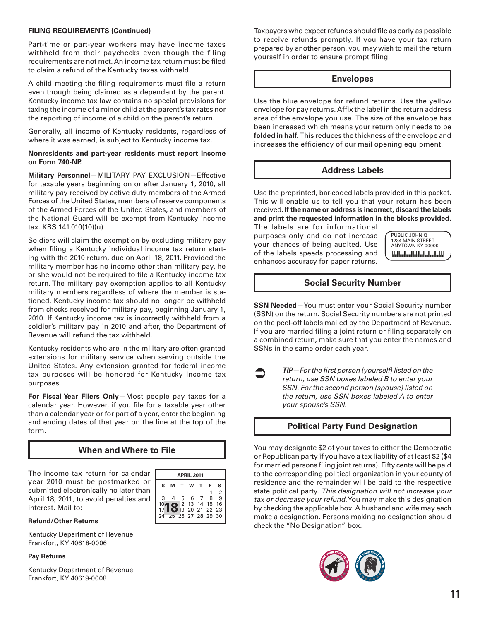#### **FILING REQUIREMENTS (Continued)**

Part-time or part-year workers may have income taxes withheld from their paychecks even though the filing requirements are not met. An income tax return must be filed to claim a refund of the Kentucky taxes withheld.

A child meeting the filing requirements must file a return even though being claimed as a dependent by the parent. Kentucky income tax law contains no special provisions for taxing the income of a minor child at the parent's tax rates nor the reporting of income of a child on the parent's return.

Generally, all income of Kentucky residents, regardless of where it was earned, is subject to Kentucky income tax.

#### **Nonresidents and part-year residents must report income on Form 740-NP.**

**Military Personnel**—MILITARY PAY EXCLUSION—Effective for taxable years beginning on or after January 1, 2010, all military pay received by active duty members of the Armed Forces of the United States, members of reserve components of the Armed Forces of the United States, and members of the National Guard will be exempt from Kentucky income tax. KRS 141.010(10)(u)

Soldiers will claim the exemption by excluding military pay when filing a Kentucky individual income tax return starting with the 2010 return, due on April 18, 2011. Provided the military member has no income other than military pay, he or she would not be required to file a Kentucky income tax return. The military pay exemption applies to all Kentucky military members regardless of where the member is stationed. Kentucky income tax should no longer be withheld from checks received for military pay, beginning January 1, 2010. If Kentucky income tax is incorrectly withheld from a soldier's military pay in 2010 and after, the Department of Revenue will refund the tax withheld.

Kentucky residents who are in the military are often granted extensions for military service when serving outside the United States. Any extension granted for federal income tax purposes will be honored for Kentucky income tax purposes.

**For Fiscal Year Filers Only**—Most people pay taxes for a calendar year. However, if you file for a taxable year other than a calendar year or for part of a year, enter the beginning and ending dates of that year on the line at the top of the form.

### **When and Where to File**

The income tax return for calendar year 2010 must be postmarked or submitted electronically no later than April 18, 2011, to avoid penalties and interest. Mail to:



#### **Refund/Other Returns**

Kentucky Department of Revenue Frankfort, KY 40618-0006

#### **Pay Returns**

Kentucky Department of Revenue Frankfort, KY 40619-0008

Taxpayers who expect refunds should file as early as possible to receive refunds promptly. If you have your tax return prepared by another person, you may wish to mail the return yourself in order to ensure prompt filing.

#### **Envelopes**

Use the blue envelope for refund returns. Use the yellow envelope for pay returns. Affix the label in the return address area of the envelope you use. The size of the envelope has been increased which means your return only needs to be **folded in half**. This reduces the thickness of the envelope and increases the efficiency of our mail opening equipment.

### **Address Labels**

Use the preprinted, bar-coded labels provided in this packet. This will enable us to tell you that your return has been received. **If the name or address is incorrect, discard the labels and print the requested information in the blocks provided**.

The labels are for informational purposes only and do not increase your chances of being audited. Use of the labels speeds processing and enhances accuracy for paper returns.

PUBLIC JOHN Q 1234 MAIN STREET ANYTOWN KY 00000 <u>| հեժետական կարողական կա</u>

### **Social Security Number**

**SSN Needed**—You must enter your Social Security number (SSN) on the return. Social Security numbers are not printed on the peel-off labels mailed by the Department of Revenue. If you are married filing a joint return or filing separately on a combined return, make sure that you enter the names and SSNs in the same order each year.

 $\bullet$ 

*TIP—For the first person (yourself) listed on the return, use SSN boxes labeled B to enter your SSN. For the second person (spouse) listed on the return, use SSN boxes labeled A to enter your spouse's SSN.*

### **Political Party Fund Designation**

You may designate \$2 of your taxes to either the Democratic or Republican party if you have a tax liability of at least \$2 (\$4 for married persons filing joint returns). Fifty cents will be paid to the corresponding political organization in your county of residence and the remainder will be paid to the respective state political party. *This designation will not increase your tax or decrease your refund.* You may make this designation by checking the applicable box. A husband and wife may each make a designation. Persons making no designation should check the "No Designation" box.

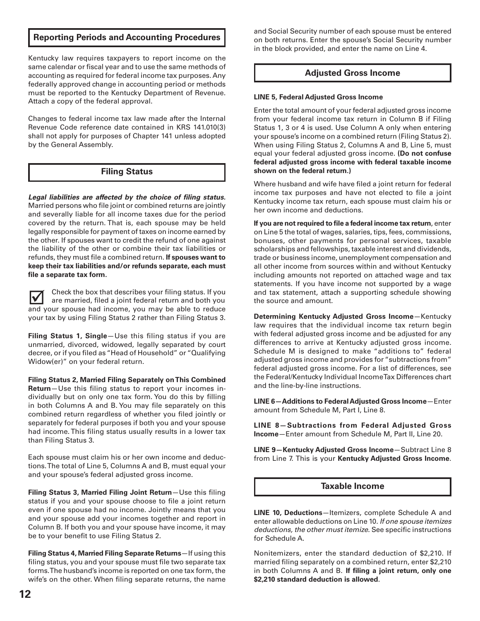### **Reporting Periods and Accounting Procedures**

Kentucky law requires taxpayers to report income on the same calendar or fiscal year and to use the same methods of accounting as required for federal income tax purposes. Any federally approved change in accounting period or methods must be reported to the Kentucky Department of Revenue. Attach a copy of the federal approval.

Changes to federal income tax law made after the Internal Revenue Code reference date contained in KRS 141.010(3) shall not apply for purposes of Chapter 141 unless adopted by the General Assembly.

### **Filing Status**

*Legal liabilities are affected by the choice of filing status.* Married persons who file joint or combined returns are jointly and severally liable for all income taxes due for the period covered by the return. That is, each spouse may be held legally responsible for payment of taxes on income earned by the other. If spouses want to credit the refund of one against the liability of the other or combine their tax liabilities or refunds, they must file a combined return. **If spouses want to keep their tax liabilities and/or refunds separate, each must file a separate tax form.**

lV Check the box that describes your filing status. If you are married, filed a joint federal return and both you and your spouse had income, you may be able to reduce your tax by using Filing Status 2 rather than Filing Status 3.

**Filing Status 1, Single**—Use this filing status if you are unmarried, divorced, widowed, legally separated by court decree, or if you filed as "Head of Household" or "Qualifying Widow(er)" on your federal return.

**Filing Status 2, Married Filing Separately on This Combined Return**—Use this filing status to report your incomes individually but on only one tax form. You do this by filling in both Columns A and B. You may file separately on this combined return regardless of whether you filed jointly or separately for federal purposes if both you and your spouse had income. This filing status usually results in a lower tax than Filing Status 3.

Each spouse must claim his or her own income and deductions. The total of Line 5, Columns A and B, must equal your and your spouse's federal adjusted gross income.

**Filing Status 3, Married Filing Joint Return**—Use this filing status if you and your spouse choose to file a joint return even if one spouse had no income. Jointly means that you and your spouse add your incomes together and report in Column B. If both you and your spouse have income, it may be to your benefit to use Filing Status 2.

**Filing Status 4, Married Filing Separate Returns**—If using this filing status, you and your spouse must file two separate tax forms. The husband's income is reported on one tax form, the wife's on the other. When filing separate returns, the name and Social Security number of each spouse must be entered on both returns. Enter the spouse's Social Security number in the block provided, and enter the name on Line 4.

### **Adjusted Gross Income**

#### **LINE 5, Federal Adjusted Gross Income**

Enter the total amount of your federal adjusted gross income from your federal income tax return in Column B if Filing Status 1, 3 or 4 is used. Use Column A only when entering your spouse's income on a combined return (Filing Status 2). When using Filing Status 2, Columns A and B, Line 5, must equal your federal adjusted gross income. **(Do not confuse federal adjusted gross income with federal taxable income shown on the federal return.)** 

Where husband and wife have filed a joint return for federal income tax purposes and have not elected to file a joint Kentucky income tax return, each spouse must claim his or her own income and deductions.

**If you are not required to file a federal income tax return**, enter on Line 5 the total of wages, salaries, tips, fees, commissions, bonuses, other payments for personal services, taxable scholarships and fellowships, taxable interest and dividends, trade or business income, unemployment compensation and all other income from sources within and without Kentucky including amounts not reported on attached wage and tax statements. If you have income not supported by a wage and tax statement, attach a supporting schedule showing the source and amount.

**Determining Kentucky Adjusted Gross Income**—Kentucky law requires that the individual income tax return begin with federal adjusted gross income and be adjusted for any differences to arrive at Kentucky adjusted gross income. Schedule M is designed to make "additions to" federal adjusted gross income and provides for "subtractions from" federal adjusted gross income. For a list of differences, see the Federal/Kentucky Individual Income Tax Differences chart and the line-by-line instructions.

**Line 6—Additions to Federal Adjusted Gross Income**—Enter amount from Schedule M, Part I, Line 8.

**Line 8—Subtractions from Federal Adjusted Gross Income**—Enter amount from Schedule M, Part II, Line 20.

**Line 9—Kentucky Adjusted Gross Income**—Subtract Line 8 from Line 7. This is your **Kentucky Adjusted Gross Income**.

### **Taxable Income**

**LINE 10, Deductions**—Itemizers, complete Schedule A and enter allowable deductions on Line 10. *If one spouse itemizes deductions, the other must itemize.* See specific instructions for Schedule A.

Nonitemizers, enter the standard deduction of \$2,210. If married filing separately on a combined return, enter \$2,210 in both Columns A and B. **If filing a joint return, only one \$2,210 standard deduction is allowed**.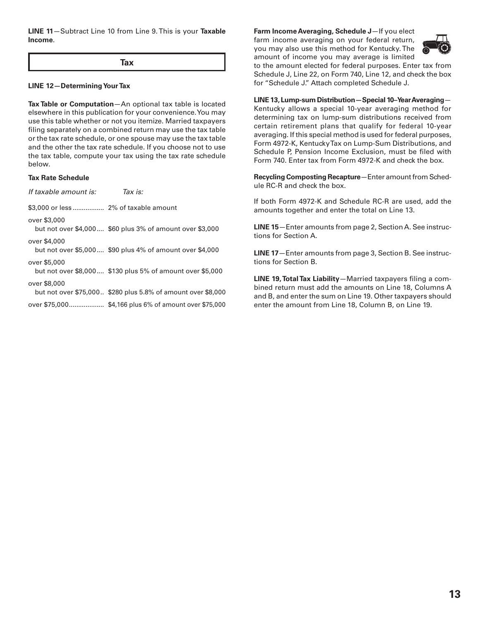**LINE 11**—Subtract Line 10 from Line 9. This is your **Taxable Income**.

**Tax**

#### **LINE 12—Determining Your Tax**

**Tax Table or Computation**—An optional tax table is located elsewhere in this publication for your convenience. You may use this table whether or not you itemize. Married taxpayers filing separately on a combined return may use the tax table or the tax rate schedule, or one spouse may use the tax table and the other the tax rate schedule. If you choose not to use the tax table, compute your tax using the tax rate schedule below.

#### **Tax Rate Schedule**

| If taxable amount is: | Tax is:                                                      |
|-----------------------|--------------------------------------------------------------|
|                       |                                                              |
| over \$3,000          | but not over \$4,000 \$60 plus 3% of amount over \$3,000     |
| over \$4,000          | but not over \$5,000 \$90 plus 4% of amount over \$4,000     |
| over \$5,000          | but not over \$8,000 \$130 plus 5% of amount over \$5,000    |
| over \$8,000          | but not over \$75,000 \$280 plus 5.8% of amount over \$8,000 |
|                       |                                                              |

### **Farm Income Averaging, Schedule J**—If you elect

farm income averaging on your federal return, you may also use this method for Kentucky. The amount of income you may average is limited



to the amount elected for federal purposes. Enter tax from Schedule J, Line 22, on Form 740, Line 12, and check the box for "Schedule J." Attach completed Schedule J.

**LINE 13, Lump-sum Distribution—Special 10–Year Averaging**— Kentucky allows a special 10-year averaging method for determining tax on lump-sum distributions received from certain retirement plans that qualify for federal 10-year averaging. If this special method is used for federal purposes, Form 4972-K, Kentucky Tax on Lump-Sum Distributions, and Schedule P, Pension Income Exclusion, must be filed with Form 740. Enter tax from Form 4972-K and check the box.

**Recycling Composting Recapture**—Enter amount from Schedule RC-R and check the box.

If both Form 4972-K and Schedule RC-R are used, add the amounts together and enter the total on Line 13.

**LINE 15**—Enter amounts from page 2, Section A. See instructions for Section A.

**LINE 17**—Enter amounts from page 3, Section B. See instructions for Section B.

**LINE 19, Total Tax Liability**—Married taxpayers filing a combined return must add the amounts on Line 18, Columns A and B, and enter the sum on Line 19. Other taxpayers should enter the amount from Line 18, Column B, on Line 19.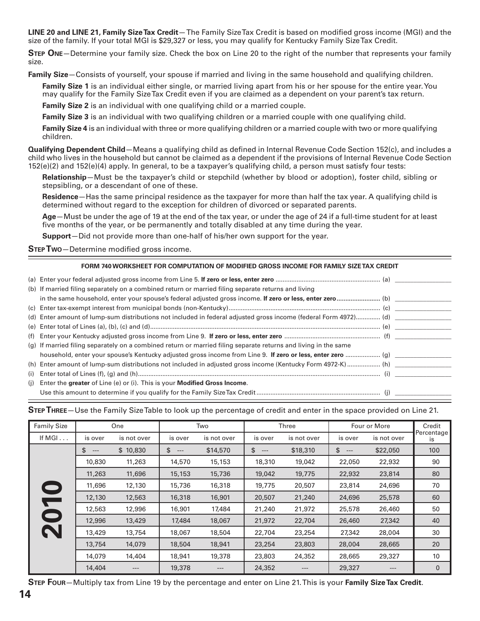**LINE 20 and LINE 21, Family Size Tax Credit**— The Family Size Tax Credit is based on modified gross income (MGI) and the size of the family. If your total MGI is \$29,327 or less, you may qualify for Kentucky Family Size Tax Credit.

**Step One**—Determine your family size. Check the box on Line 20 to the right of the number that represents your family size.

**Family Size**—Consists of yourself, your spouse if married and living in the same household and qualifying children.

**Family Size 1** is an individual either single, or married living apart from his or her spouse for the entire year. You may qualify for the Family Size Tax Credit even if you are claimed as a dependent on your parent's tax return.

**Family Size 2** is an individual with one qualifying child or a married couple.

**Family Size 3** is an individual with two qualifying children or a married couple with one qualifying child.

**Family Size 4** is an individual with three or more qualifying children or a married couple with two or more qualifying children.

**Qualifying Dependent Child**—Means a qualifying child as defined in Internal Revenue Code Section 152(c), and includes a child who lives in the household but cannot be claimed as a dependent if the provisions of Internal Revenue Code Section 152(e)(2) and 152(e)(4) apply. In general, to be a taxpayer's qualifying child, a person must satisfy four tests:

**Relationship**—Must be the taxpayer's child or stepchild (whether by blood or adoption), foster child, sibling or stepsibling, or a descendant of one of these.

**Residence**—Has the same principal residence as the taxpayer for more than half the tax year. A qualifying child is determined without regard to the exception for children of divorced or separated parents.

**Age**—Must be under the age of 19 at the end of the tax year, or under the age of 24 if a full-time student for at least five months of the year, or be permanently and totally disabled at any time during the year.

**Support**—Did not provide more than one-half of his/her own support for the year.

**Step Two**—Determine modified gross income.

#### **FORM 740 WORKSHEET FOR COMPUTATION OF MODIFIED GROSS INCOME FOR FAMILY SIZE TAX CREDIT**

| (b) If married filing separately on a combined return or married filing separate returns and living              |  |
|------------------------------------------------------------------------------------------------------------------|--|
|                                                                                                                  |  |
|                                                                                                                  |  |
| (d) Enter amount of lump-sum distributions not included in federal adjusted gross income (federal Form 4972) (d) |  |
|                                                                                                                  |  |
|                                                                                                                  |  |
| (g) If married filing separately on a combined return or married filing separate returns and living in the same  |  |
|                                                                                                                  |  |
| (h) Enter amount of lump-sum distributions not included in adjusted gross income (Kentucky Form 4972-K)  (h)     |  |
|                                                                                                                  |  |
| (i) Enter the greater of Line (e) or (i). This is your <b>Modified Gross Income.</b>                             |  |
|                                                                                                                  |  |

**Step Three**—Use the Family Size Table to look up the percentage of credit and enter in the space provided on Line 21.

| <b>Family Size</b>      | One         |             | Two         |             | Three       |             | Four or More |             | Credit           |
|-------------------------|-------------|-------------|-------------|-------------|-------------|-------------|--------------|-------------|------------------|
| If $MGI$                | is over     | is not over | is over     | is not over | is over     | is not over | is over      | is not over | Percentage<br>is |
|                         | \$<br>$---$ | \$10,830    | \$<br>$---$ | \$14,570    | \$<br>$---$ | \$18,310    | \$<br>$---$  | \$22,050    | 100              |
|                         | 10,830      | 11,263      | 14,570      | 15,153      | 18,310      | 19,042      | 22,050       | 22,932      | 90               |
|                         | 11,263      | 11,696      | 15,153      | 15,736      | 19,042      | 19,775      | 22,932       | 23,814      | 80               |
|                         | 11,696      | 12,130      | 15,736      | 16,318      | 19,775      | 20,507      | 23,814       | 24,696      | 70               |
| P                       | 12,130      | 12,563      | 16,318      | 16,901      | 20,507      | 21,240      | 24,696       | 25,578      | 60               |
|                         | 12,563      | 12,996      | 16,901      | 17,484      | 21,240      | 21,972      | 25,578       | 26,460      | 50               |
| $\bullet$               | 12,996      | 13,429      | 17,484      | 18,067      | 21,972      | 22,704      | 26,460       | 27,342      | 40               |
| $\overline{\mathbf{N}}$ | 13,429      | 13,754      | 18,067      | 18,504      | 22,704      | 23,254      | 27,342       | 28,004      | 30               |
|                         | 13,754      | 14,079      | 18,504      | 18,941      | 23,254      | 23,803      | 28,004       | 28,665      | 20               |
|                         | 14,079      | 14,404      | 18,941      | 19,378      | 23,803      | 24,352      | 28,665       | 29,327      | 10               |
|                         | 14,404      | $---$       | 19,378      | $---$       | 24,352      | $---$       | 29,327       | $---$       | $\mathbf 0$      |

**Step Four**—Multiply tax from Line 19 by the percentage and enter on Line 21. This is your **Family Size Tax Credit**.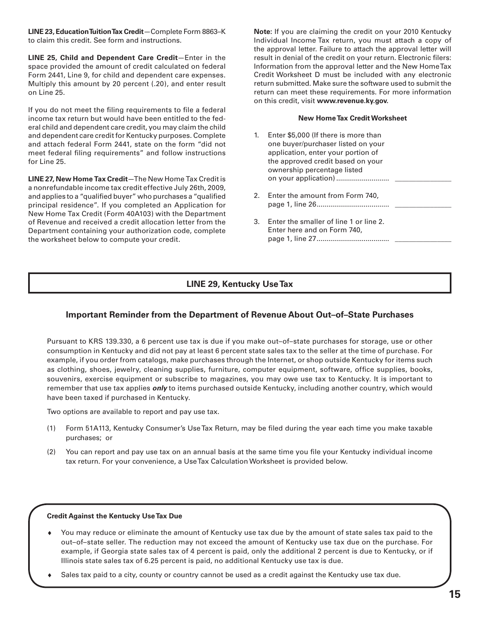**LINE 23, Education Tuition Tax Credit**—Complete Form 8863–K to claim this credit. See form and instructions.

**LINE 25, Child and Dependent Care Credit**—Enter in the space provided the amount of credit calculated on federal Form 2441, Line 9, for child and dependent care expenses. Multiply this amount by 20 percent (.20), and enter result on Line 25.

If you do not meet the filing requirements to file a federal income tax return but would have been entitled to the federal child and dependent care credit, you may claim the child and dependent care credit for Kentucky purposes. Complete and attach federal Form 2441, state on the form "did not meet federal filing requirements" and follow instructions for Line 25.

**LINE 27, New Home Tax Credit**—The New Home Tax Credit is a nonrefundable income tax credit effective July 26th, 2009, and applies to a "qualified buyer" who purchases a "qualified principal residence". If you completed an Application for New Home Tax Credit (Form 40A103) with the Department of Revenue and received a credit allocation letter from the Department containing your authorization code, complete the worksheet below to compute your credit.

**Note:** If you are claiming the credit on your 2010 Kentucky Individual Income Tax return, you must attach a copy of the approval letter. Failure to attach the approval letter will result in denial of the credit on your return. Electronic filers: Information from the approval letter and the New Home Tax Credit Worksheet D must be included with any electronic return submitted. Make sure the software used to submit the return can meet these requirements. For more information on this credit, visit **www.revenue.ky.gov.**

#### **New Home Tax Credit Worksheet**

- 1. Enter \$5,000 (If there is more than one buyer/purchaser listed on your application, enter your portion of the approved credit based on your ownership percentage listed on your application) ........................... \_\_\_\_\_\_\_\_\_\_\_\_\_\_\_\_ 2. Enter the amount from Form 740, page 1, line 26..................................... \_\_\_\_\_\_\_\_\_\_\_\_\_\_\_\_
- 3. Enter the smaller of line 1 or line 2. Enter here and on Form 740, page 1, line 27..................................... \_\_\_\_\_\_\_\_\_\_\_\_\_\_\_\_

### **LINE 29, Kentucky Use Tax**

### **Important Reminder from the Department of Revenue About Out–of–State Purchases**

Pursuant to KRS 139.330, a 6 percent use tax is due if you make out–of–state purchases for storage, use or other consumption in Kentucky and did not pay at least 6 percent state sales tax to the seller at the time of purchase. For example, if you order from catalogs, make purchases through the Internet, or shop outside Kentucky for items such as clothing, shoes, jewelry, cleaning supplies, furniture, computer equipment, software, office supplies, books, souvenirs, exercise equipment or subscribe to magazines, you may owe use tax to Kentucky. It is important to remember that use tax applies *only* to items purchased outside Kentucky, including another country, which would have been taxed if purchased in Kentucky.

Two options are available to report and pay use tax.

- (1) Form 51A113, Kentucky Consumer's Use Tax Return, may be filed during the year each time you make taxable purchases; or
- (2) You can report and pay use tax on an annual basis at the same time you file your Kentucky individual income tax return. For your convenience, a Use Tax Calculation Worksheet is provided below.

#### **Credit Against the Kentucky Use Tax Due**

- ♦ You may reduce or eliminate the amount of Kentucky use tax due by the amount of state sales tax paid to the out–of–state seller. The reduction may not exceed the amount of Kentucky use tax due on the purchase. For example, if Georgia state sales tax of 4 percent is paid, only the additional 2 percent is due to Kentucky, or if Illinois state sales tax of 6.25 percent is paid, no additional Kentucky use tax is due.
- Sales tax paid to a city, county or country cannot be used as a credit against the Kentucky use tax due.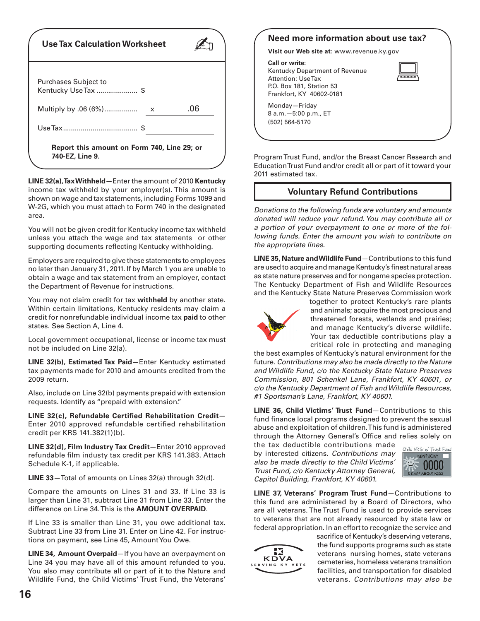| <b>Use Tax Calculation Worksheet</b>                           |     |
|----------------------------------------------------------------|-----|
| <b>Purchases Subject to</b><br>Kentucky Use Tax \$             |     |
| Multiply by .06 (6%)<br>x                                      | .06 |
|                                                                |     |
| Report this amount on Form 740, Line 29; or<br>740-EZ, Line 9. |     |

**LINE 32(a), Tax Withheld**—Enter the amount of 2010 **Kentucky** income tax withheld by your employer(s). This amount is shown on wage and tax statements, including Forms 1099 and W-2G, which you must attach to Form 740 in the designated area.

You will not be given credit for Kentucky income tax withheld unless you attach the wage and tax statements or other supporting documents reflecting Kentucky withholding.

Employers are required to give these statements to employees no later than January 31, 2011. If by March 1 you are unable to obtain a wage and tax statement from an employer, contact the Department of Revenue for instructions.

You may not claim credit for tax **withheld** by another state. Within certain limitations, Kentucky residents may claim a credit for nonrefundable individual income tax **paid** to other states. See Section A, Line 4.

Local government occupational, license or income tax must not be included on Line 32(a).

**LINE 32(b), Estimated Tax Paid**—Enter Kentucky estimated tax payments made for 2010 and amounts credited from the 2009 return.

Also, include on Line 32(b) payments prepaid with extension requests. Identify as "prepaid with extension."

**LINE 32(c), Refundable Certified Rehabilitation Credit**— Enter 2010 approved refundable certified rehabilitation credit per KRS 141.382(1)(b).

**LINE 32(d), Film Industry Tax Credit**—Enter 2010 approved refundable film industy tax credit per KRS 141.383. Attach Schedule K-1, if applicable.

**LINE 33**—Total of amounts on Lines 32(a) through 32(d).

Compare the amounts on Lines 31 and 33. If Line 33 is larger than Line 31, subtract Line 31 from Line 33. Enter the difference on Line 34. This is the **AMOUNT OVERPAID**.

If Line 33 is smaller than Line 31, you owe additional tax. Subtract Line 33 from Line 31. Enter on Line 42. For instructions on payment, see Line 45, Amount You Owe.

**LINE 34, Amount Overpaid**—If you have an overpayment on Line 34 you may have all of this amount refunded to you. You also may contribute all or part of it to the Nature and Wildlife Fund, the Child Victims' Trust Fund, the Veterans'



Program Trust Fund, and/or the Breast Cancer Research and Education Trust Fund and/or credit all or part of it toward your 2011 estimated tax.

### **Voluntary Refund Contributions**

*Donations to the following funds are voluntary and amounts donated will reduce your refund. You may contribute all or a portion of your overpayment to one or more of the following funds. Enter the amount you wish to contribute on the appropriate lines.*

**LINE 35, Nature and Wildlife Fund**—Contributions to this fund are used to acquire and manage Kentucky's finest natural areas as state nature preserves and for nongame species protection. The Kentucky Department of Fish and Wildlife Resources and the Kentucky State Nature Preserves Commission work



together to protect Kentucky's rare plants and animals; acquire the most precious and threatened forests, wetlands and prairies; and manage Kentucky's diverse wildlife. Your tax deductible contributions play a critical role in protecting and managing

the best examples of Kentucky's natural environment for the future. *Contributions may also be made directly to the Nature and Wildlife Fund, c/o the Kentucky State Nature Preserves Commission, 801 Schenkel Lane, Frankfort, KY 40601, or c/o the Kentucky Department of Fish and Wildlife Resources, #1 Sportsman's Lane, Frankfort, KY 40601.*

**LINE 36, Child Victims' Trust Fund**—Contributions to this fund finance local programs designed to prevent the sexual abuse and exploitation of children. This fund is administered through the Attorney General's Office and relies solely on

the tax deductible contributions made by interested citizens. *Contributions may also be made directly to the Child Victims' Trust Fund, c/o Kentucky Attorney General, Capitol Building, Frankfort, KY 40601.*



**LINE 37, Veterans' Program Trust Fund**—Contributions to this fund are administered by a Board of Directors, who are all veterans. The Trust Fund is used to provide services to veterans that are not already resourced by state law or federal appropriation. In an effort to recognize the service and



sacrifice of Kentucky's deserving veterans, the fund supports programs such as state veterans nursing homes, state veterans cemeteries, homeless veterans transition facilities, and transportation for disabled veterans. *Contributions may also be*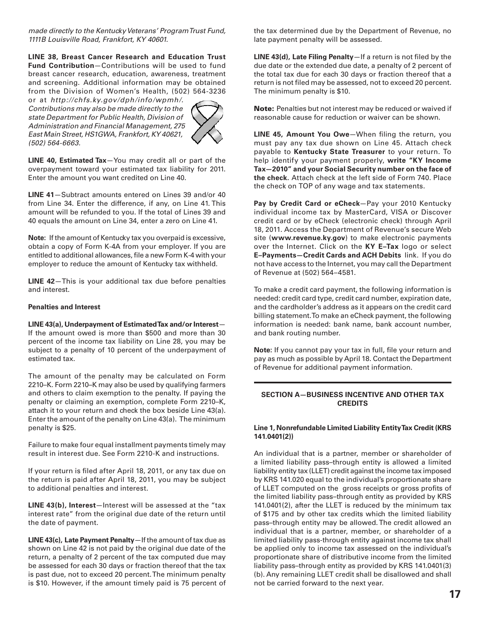*made directly to the Kentucky Veterans' Program Trust Fund, 1111B Louisville Road, Frankfort, KY 40601.* 

**LINE 38, Breast Cancer Research and Education Trust Fund Contribution**—Contributions will be used to fund breast cancer research, education, awareness, treatment and screening. Additional information may be obtained from the Division of Women's Health, (502) 564-3236

or at *http://chfs.ky.gov/dph/info/wpmh/. Contributions may also be made directly to the state Department for Public Health, Division of Administration and Financial Management, 275 East Main Street, HS1GWA, Frankfort, KY 40621, (502) 564-6663.*



**LINE 40, Estimated Tax**—You may credit all or part of the overpayment toward your estimated tax liability for 2011. Enter the amount you want credited on Line 40.

**LINE 41**—Subtract amounts entered on Lines 39 and/or 40 from Line 34. Enter the difference, if any, on Line 41. This amount will be refunded to you. If the total of Lines 39 and 40 equals the amount on Line 34, enter a zero on Line 41.

**Note:** If the amount of Kentucky tax you overpaid is excessive, obtain a copy of Form K-4A from your employer. If you are entitled to additional allowances, file a new Form K-4 with your employer to reduce the amount of Kentucky tax withheld.

**LINE 42**—This is your additional tax due before penalties and interest.

#### **Penalties and Interest**

**LINE 43(a), Underpayment of Estimated Tax and/or Interest**— If the amount owed is more than \$500 and more than 30 percent of the income tax liability on Line 28, you may be subject to a penalty of 10 percent of the underpayment of estimated tax.

The amount of the penalty may be calculated on Form 2210–K. Form 2210–K may also be used by qualifying farmers and others to claim exemption to the penalty. If paying the penalty or claiming an exemption, complete Form 2210–K, attach it to your return and check the box beside Line 43(a). Enter the amount of the penalty on Line 43(a). The minimum penalty is \$25.

Failure to make four equal installment payments timely may result in interest due. See Form 2210-K and instructions.

If your return is filed after April 18, 2011, or any tax due on the return is paid after April 18, 2011, you may be subject to additional penalties and interest.

**LINE 43(b), Interest**—Interest will be assessed at the "tax interest rate" from the original due date of the return until the date of payment.

**LINE 43(c), Late Payment Penalty**—If the amount of tax due as shown on Line 42 is not paid by the original due date of the return, a penalty of 2 percent of the tax computed due may be assessed for each 30 days or fraction thereof that the tax is past due, not to exceed 20 percent. The minimum penalty is \$10. However, if the amount timely paid is 75 percent of

the tax determined due by the Department of Revenue, no late payment penalty will be assessed.

**LINE 43(d), Late Filing Penalty**—If a return is not filed by the due date or the extended due date, a penalty of 2 percent of the total tax due for each 30 days or fraction thereof that a return is not filed may be assessed, not to exceed 20 percent. The minimum penalty is \$10.

Note: Penalties but not interest may be reduced or waived if reasonable cause for reduction or waiver can be shown.

**LINE 45, Amount You Owe**—When filing the return, you must pay any tax due shown on Line 45. Attach check payable to **Kentucky State Treasurer** to your return. To help identify your payment properly, **write "KY Income Tax—2010" and your Social Security number on the face of the check.** Attach check at the left side of Form 740. Place the check on TOP of any wage and tax statements.

**Pay by Credit Card or eCheck**—Pay your 2010 Kentucky individual income tax by MasterCard, VISA or Discover credit card or by eCheck (electronic check) through April 18, 2011. Access the Department of Revenue's secure Web site (**www.revenue.ky.gov**) to make electronic payments over the Internet. Click on the **KY E–Tax** logo or select **E–Payments—Credit Cards and ACH Debits** link. If you do not have access to the Internet, you may call the Department of Revenue at (502) 564–4581.

To make a credit card payment, the following information is needed: credit card type, credit card number, expiration date, and the cardholder's address as it appears on the credit card billing statement. To make an eCheck payment, the following information is needed: bank name, bank account number, and bank routing number.

**Note:** If you cannot pay your tax in full, file your return and pay as much as possible by April 18. Contact the Department of Revenue for additional payment information.

#### **SECTION A—BUSINESS INCENTIVE AND OTHER TAX CREDITS**

#### **Line 1, Nonrefundable Limited Liability Entity Tax Credit (KRS 141.0401(2))**

An individual that is a partner, member or shareholder of a limited liability pass–through entity is allowed a limited liability entity tax (LLET) credit against the income tax imposed by KRS 141.020 equal to the individual's proportionate share of LLET computed on the gross receipts or gross profits of the limited liability pass–through entity as provided by KRS 141.0401(2), after the LLET is reduced by the minimum tax of \$175 and by other tax credits which the limited liability pass–through entity may be allowed. The credit allowed an individual that is a partner, member, or shareholder of a limited liability pass-through entity against income tax shall be applied only to income tax assessed on the individual's proportionate share of distributive income from the limited liability pass–through entity as provided by KRS 141.0401(3) (b). Any remaining LLET credit shall be disallowed and shall not be carried forward to the next year.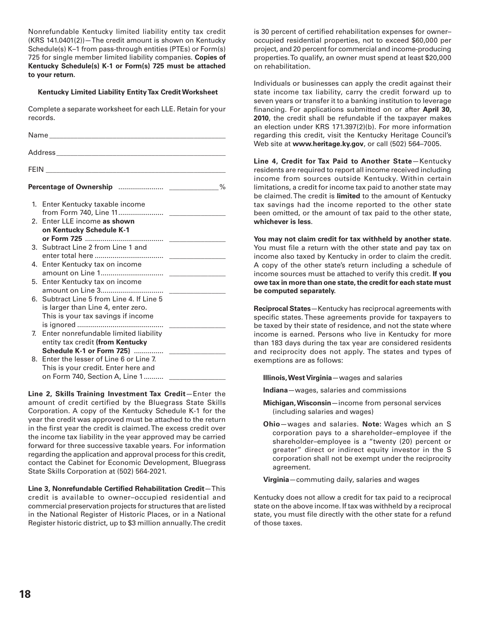Nonrefundable Kentucky limited liability entity tax credit (KRS 141.0401(2))—The credit amount is shown on Kentucky Schedule(s) K–1 from pass-through entities (PTEs) or Form(s) 725 for single member limited liability companies. **Copies of Kentucky Schedule(s) K-1 or Form(s) 725 must be attached to your return.**

#### **Kentucky Limited Liability Entity Tax Credit Worksheet**

Complete a separate worksheet for each LLE. Retain for your records.

|                | 1. Enter Kentucky taxable income          |  |
|----------------|-------------------------------------------|--|
|                |                                           |  |
|                | 2. Enter LLE income as shown              |  |
|                | on Kentucky Schedule K-1                  |  |
|                | 3. Subtract Line 2 from Line 1 and        |  |
|                |                                           |  |
|                | 4. Enter Kentucky tax on income           |  |
|                |                                           |  |
| 5.             | Enter Kentucky tax on income              |  |
|                |                                           |  |
|                | 6. Subtract Line 5 from Line 4. If Line 5 |  |
|                | is larger than Line 4, enter zero.        |  |
|                | This is your tax savings if income        |  |
|                |                                           |  |
| $\overline{L}$ | Enter nonrefundable limited liability     |  |
|                | entity tax credit (from Kentucky          |  |
|                | Schedule K-1 or Form 725)                 |  |
|                | 8. Enter the lesser of Line 6 or Line 7.  |  |
|                | This is your credit. Enter here and       |  |
|                | on Form 740, Section A, Line 1            |  |

**Line 2, Skills Training Investment Tax Credit**—Enter the amount of credit certified by the Bluegrass State Skills Corporation. A copy of the Kentucky Schedule K-1 for the year the credit was approved must be attached to the return in the first year the credit is claimed. The excess credit over the income tax liability in the year approved may be carried forward for three successive taxable years. For information regarding the application and approval process for this credit, contact the Cabinet for Economic Development, Bluegrass State Skills Corporation at (502) 564-2021.

**Line 3, Nonrefundable Certified Rehabilitation Credit**—This credit is available to owner–occupied residential and commercial preservation projects for structures that are listed in the National Register of Historic Places, or in a National Register historic district, up to \$3 million annually. The credit

is 30 percent of certified rehabilitation expenses for owner– occupied residential properties, not to exceed \$60,000 per project, and 20 percent for commercial and income-producing properties. To qualify, an owner must spend at least \$20,000 on rehabilitation.

Individuals or businesses can apply the credit against their state income tax liability, carry the credit forward up to seven years or transfer it to a banking institution to leverage financing. For applications submitted on or after **April 30, 2010**, the credit shall be refundable if the taxpayer makes an election under KRS 171.397(2)(b). For more information regarding this credit, visit the Kentucky Heritage Council's Web site at **www.heritage.ky.gov**, or call (502) 564–7005.

**Line 4, Credit for Tax Paid to Another State**—Kentucky residents are required to report all income received including income from sources outside Kentucky. Within certain limitations, a credit for income tax paid to another state may be claimed. The credit is **limited** to the amount of Kentucky tax savings had the income reported to the other state been omitted, or the amount of tax paid to the other state, **whichever is less**.

**You may not claim credit for tax withheld by another state.** You must file a return with the other state and pay tax on income also taxed by Kentucky in order to claim the credit. A copy of the other state's return including a schedule of income sources must be attached to verify this credit. **If you owe tax in more than one state, the credit for each state must be computed separately.**

**Reciprocal States**—Kentucky has reciprocal agreements with specific states. These agreements provide for taxpayers to be taxed by their state of residence, and not the state where income is earned. Persons who live in Kentucky for more than 183 days during the tax year are considered residents and reciprocity does not apply. The states and types of exemptions are as follows:

**Illinois, West Virginia**—wages and salaries

**Indiana**—wages, salaries and commissions

- **Michigan, Wisconsin**—income from personal services (including salaries and wages)
- **Ohio**—wages and salaries. **Note:** Wages which an S corporation pays to a shareholder–employee if the shareholder–employee is a "twenty (20) percent or greater" direct or indirect equity investor in the S corporation shall not be exempt under the reciprocity agreement.

**Virginia**—commuting daily, salaries and wages

Kentucky does not allow a credit for tax paid to a reciprocal state on the above income. If tax was withheld by a reciprocal state, you must file directly with the other state for a refund of those taxes.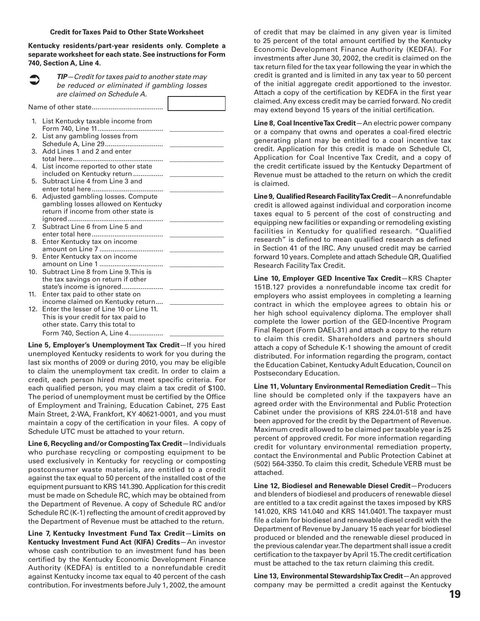#### **Credit for Taxes Paid to Other State Worksheet**

**Kentucky residents/part-year residents only. Complete a separate worksheet for each state. See instructions for Form 740, Section A, Line 4.**

*TIP—Credit for taxes paid to another state may be reduced or eliminated if gambling losses are claimed on Schedule A.* Name of other state...................................... 1. List Kentucky taxable income from Form 740, Line 11................................... \_\_\_\_\_\_\_\_\_\_\_\_\_\_\_\_ 2. List any gambling losses from Schedule A, Line 29.............................. 3. Add Lines 1 and 2 and enter total here................................................ \_\_\_\_\_\_\_\_\_\_\_\_\_\_\_\_ 4. List income reported to other state included on Kentucky return ..................... 5. Subtract Line 4 from Line 3 and enter total here...................................... \_\_\_\_\_\_\_\_\_\_\_\_\_\_\_\_ 6. Adjusted gambling losses. Compute gambling losses allowed on Kentucky return if income from other state is ignored................................................... \_\_\_\_\_\_\_\_\_\_\_\_\_\_\_\_ 7. Subtract Line 6 from Line 5 and enter total here...................................... \_\_\_\_\_\_\_\_\_\_\_\_\_\_\_\_ 8. Enter Kentucky tax on income amount on Line 7 .................................. \_\_\_\_\_\_\_\_\_\_\_\_\_\_\_\_ 9. Enter Kentucky tax on income amount on Line 1 .................................. \_\_\_\_\_\_\_\_\_\_\_\_\_\_\_\_ 10. Subtract Line 8 from Line 9. This is the tax savings on return if other state's income is ignored...................... \_\_\_\_\_\_\_\_\_\_\_\_\_\_\_\_ 11. Enter tax paid to other state on income claimed on Kentucky return.... 12. Enter the lesser of Line 10 or Line 11. This is your credit for tax paid to other state. Carry this total to Form 740, Section A, Line 4..................  $\bullet$ 

**Line 5, Employer's Unemployment Tax Credit**—If you hired unemployed Kentucky residents to work for you during the last six months of 2009 or during 2010, you may be eligible to claim the unemployment tax credit. In order to claim a credit, each person hired must meet specific criteria. For each qualified person, you may claim a tax credit of \$100. The period of unemployment must be certified by the Office of Employment and Training, Education Cabinet, 275 East Main Street, 2-WA, Frankfort, KY 40621-0001, and you must maintain a copy of the certification in your files. A copy of Schedule UTC must be attached to your return.

**Line 6, Recycling and/or Composting Tax Credit**—Individuals who purchase recycling or composting equipment to be used exclusively in Kentucky for recycling or composting postconsumer waste materials, are entitled to a credit against the tax equal to 50 percent of the installed cost of the equipment pursuant to KRS 141.390. Application for this credit must be made on Schedule RC, which may be obtained from the Department of Revenue. A copy of Schedule RC and/or Schedule RC (K-1) reflecting the amount of credit approved by the Department of Revenue must be attached to the return.

**Line 7, Kentucky Investment Fund Tax Credit**—**Limits on Kentucky Investment Fund Act (KIFA) Credits**—An investor whose cash contribution to an investment fund has been certified by the Kentucky Economic Development Finance Authority (KEDFA) is entitled to a nonrefundable credit against Kentucky income tax equal to 40 percent of the cash contribution. For investments before July 1, 2002, the amount

of credit that may be claimed in any given year is limited to 25 percent of the total amount certified by the Kentucky Economic Development Finance Authority (KEDFA). For investments after June 30, 2002, the credit is claimed on the tax return filed for the tax year following the year in which the credit is granted and is limited in any tax year to 50 percent of the initial aggregate credit apportioned to the investor. Attach a copy of the certification by KEDFA in the first year claimed. Any excess credit may be carried forward. No credit may extend beyond 15 years of the initial certification.

**Line 8, Coal Incentive Tax Credit**—An electric power company or a company that owns and operates a coal-fired electric generating plant may be entitled to a coal incentive tax credit. Application for this credit is made on Schedule CI, Application for Coal Incentive Tax Credit, and a copy of the credit certificate issued by the Kentucky Department of Revenue must be attached to the return on which the credit is claimed.

**Line 9, Qualified Research Facility Tax Credit**—A nonrefundable credit is allowed against individual and corporation income taxes equal to 5 percent of the cost of constructing and equipping new facilities or expanding or remodeling existing facilities in Kentucky for qualified research. "Qualified research" is defined to mean qualified research as defined in Section 41 of the IRC. Any unused credit may be carried forward 10 years. Complete and attach Schedule QR, Qualified Research Facility Tax Credit.

**Line 10, Employer GED Incentive Tax Credit**—KRS Chapter 151B.127 provides a nonrefundable income tax credit for employers who assist employees in completing a learning contract in which the employee agrees to obtain his or her high school equivalency diploma. The employer shall complete the lower portion of the GED-Incentive Program Final Report (Form DAEL-31) and attach a copy to the return to claim this credit. Shareholders and partners should attach a copy of Schedule K-1 showing the amount of credit distributed. For information regarding the program, contact the Education Cabinet, Kentucky Adult Education, Council on Postsecondary Education.

**Line 11, Voluntary Environmental Remediation Credit**—This line should be completed only if the taxpayers have an agreed order with the Environmental and Public Protection Cabinet under the provisions of KRS 224.01-518 and have been approved for the credit by the Department of Revenue. Maximum credit allowed to be claimed per taxable year is 25 percent of approved credit. For more information regarding credit for voluntary environmental remediation property, contact the Environmental and Public Protection Cabinet at (502) 564-3350. To claim this credit, Schedule VERB must be attached.

**Line 12, Biodiesel and Renewable Diesel Credit**—Producers and blenders of biodiesel and producers of renewable diesel are entitled to a tax credit against the taxes imposed by KRS 141.020, KRS 141.040 and KRS 141.0401. The taxpayer must file a claim for biodiesel and renewable diesel credit with the Department of Revenue by January 15 each year for biodiesel produced or blended and the renewable diesel produced in the previous calendar year. The department shall issue a credit certification to the taxpayer by April 15. The credit certification must be attached to the tax return claiming this credit.

**Line 13, Environmental Stewardship Tax Credit**—An approved company may be permitted a credit against the Kentucky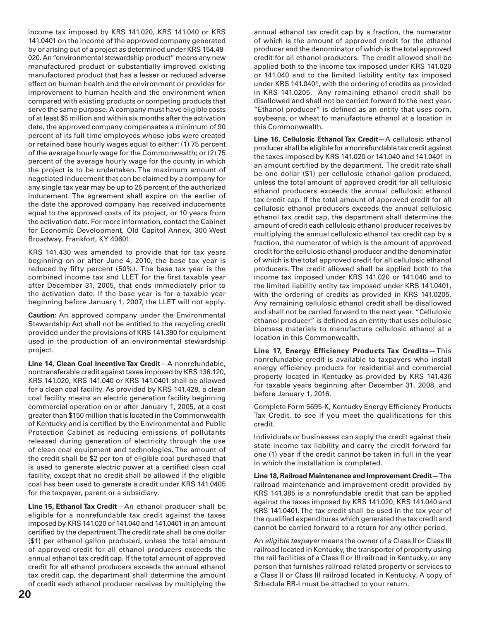income tax imposed by KRS 141.020, KRS 141.040 or KRS 141.0401 on the income of the approved company generated by or arising out of a project as determined under KRS 154.48- 020. An "environmental stewardship product" means any new manufactured product or substantially improved existing manufactured product that has a lesser or reduced adverse effect on human health and the environment or provides for improvement to human health and the environment when compared with existing products or competing products that serve the same purpose. A company must have eligible costs of at least \$5 million and within six months after the activation date, the approved company compensates a minimum of 90 percent of its full-time employees whose jobs were created or retained base hourly wages equal to either: (1) 75 percent of the average hourly wage for the Commonwealth; or (2) 75 percent of the average hourly wage for the county in which the project is to be undertaken. The maximum amount of negotiated inducement that can be claimed by a company for any single tax year may be up to 25 percent of the authorized inducement. The agreement shall expire on the earlier of the date the approved company has received inducements equal to the approved costs of its project, or 10 years from the activation date. For more information, contact the Cabinet for Economic Development, Old Capitol Annex, 300 West Broadway, Frankfort, KY 40601.

KRS 141.430 was amended to provide that for tax years beginning on or after June 4, 2010, the base tax year is reduced by fifty percent (50%). The base tax year is the combined income tax and LLET for the first taxable year after December 31, 2005, that ends immediately prior to the activation date. If the base year is for a taxable year beginning before January 1, 2007, the LLET will not apply.

**Caution:** An approved company under the Environmental Stewardship Act shall not be entitled to the recycling credit provided under the provisions of KRS 141.390 for equipment used in the production of an environmental stewardship project.

**Line 14, Clean Coal Incentive Tax Credit**—A nonrefundable, nontransferable credit against taxes imposed by KRS 136.120, KRS 141.020, KRS 141.040 or KRS 141.0401 shall be allowed for a clean coal facility. As provided by KRS 141.428, a clean coal facility means an electric generation facility beginning commercial operation on or after January 1, 2005, at a cost greater than \$150 million that is located in the Commonwealth of Kentucky and is certified by the Environmental and Public Protection Cabinet as reducing emissions of pollutants released during generation of electricity through the use of clean coal equipment and technologies. The amount of the credit shall be \$2 per ton of eligible coal purchased that is used to generate electric power at a certified clean coal facility, except that no credit shall be allowed if the eligible coal has been used to generate a credit under KRS 141.0405 for the taxpayer, parent or a subsidiary.

**Line 15, Ethanol Tax Credit**—An ethanol producer shall be eligible for a nonrefundable tax credit against the taxes imposed by KRS 141.020 or 141.040 and 141.0401 in an amount certified by the department. The credit rate shall be one dollar (\$1) per ethanol gallon produced, unless the total amount of approved credit for all ethanol producers exceeds the annual ethanol tax credit cap. If the total amount of approved credit for all ethanol producers exceeds the annual ethanol tax credit cap, the department shall determine the amount of credit each ethanol producer receives by multiplying the

annual ethanol tax credit cap by a fraction, the numerator of which is the amount of approved credit for the ethanol producer and the denominator of which is the total approved credit for all ethanol producers. The credit allowed shall be applied both to the income tax imposed under KRS 141.020 or 141.040 and to the limited liability entity tax imposed under KRS 141.0401, with the ordering of credits as provided in KRS 141.0205. Any remaining ethanol credit shall be disallowed and shall not be carried forward to the next year. "Ethanol producer" is defined as an entity that uses corn, soybeans, or wheat to manufacture ethanol at a location in this Commonwealth.

**Line 16, Cellulosic Ethanol Tax Credit—**A cellulosic ethanol producer shall be eligible for a nonrefundable tax credit against the taxes imposed by KRS 141.020 or 141.040 and 141.0401 in an amount certified by the department. The credit rate shall be one dollar (\$1) per cellulosic ethanol gallon produced, unless the total amount of approved credit for all cellulosic ethanol producers exceeds the annual cellulosic ethanol tax credit cap. If the total amount of approved credit for all cellulosic ethanol producers exceeds the annual cellulosic ethanol tax credit cap, the department shall determine the amount of credit each cellulosic ethanol producer receives by multiplying the annual cellulosic ethanol tax credit cap by a fraction, the numerator of which is the amount of approved credit for the cellulosic ethanol producer and the denominator of which is the total approved credit for all cellulosic ethanol producers. The credit allowed shall be applied both to the income tax imposed under KRS 141.020 or 141.040 and to the limited liability entity tax imposed under KRS 141.0401, with the ordering of credits as provided in KRS 141.0205. Any remaining cellulosic ethanol credit shall be disallowed and shall not be carried forward to the next year. "Cellulosic ethanol producer" is defined as an entity that uses cellulosic biomass materials to manufacture cellulosic ethanol at a location in this Commonwealth.

**Line 17, Energy Efficiency Products Tax Credits—**This nonrefundable credit is available to taxpayers who install energy efficiency products for residential and commercial property located in Kentucky as provided by KRS 141.436 for taxable years beginning after December 31, 2008, and before January 1, 2016.

Complete Form 5695-K, Kentucky Energy Efficiency Products Tax Credit, to see if you meet the qualifications for this credit.

Individuals or businesses can apply the credit against their state income tax liability and carry the credit forward for one (1) year if the credit cannot be taken in full in the year in which the installation is completed.

**Line 18, Railroad Maintenance and Improvement Credit—**The railroad maintenance and improvement credit provided by KRS 141.385 is a nonrefundable credit that can be applied against the taxes imposed by KRS 141.020, KRS 141.040 and KRS 141.0401. The tax credit shall be used in the tax year of the qualified expenditures which generated the tax credit and cannot be carried forward to a return for any other period.

An *eligible taxpayer* means the owner of a Class II or Class III railroad located in Kentucky, the transporter of property using the rail facilities of a Class II or III railroad in Kentucky, or any person that furnishes railroad-related property or services to a Class II or Class III railroad located in Kentucky. A copy of Schedule RR-I must be attached to your return.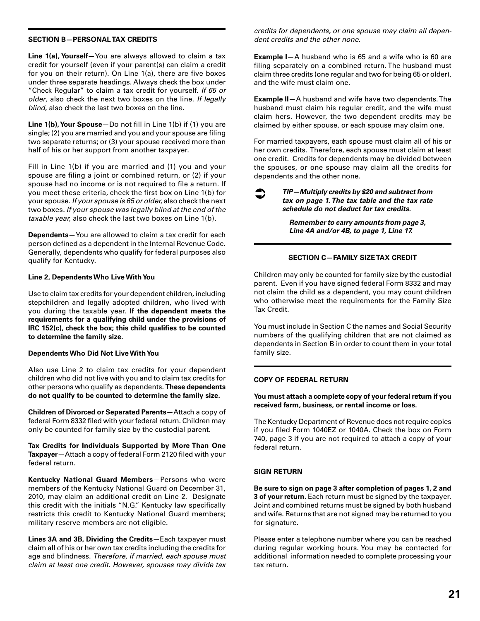#### **SECTION B—PERSONAL TAX CREDITS**

**Line 1(a), Yourself**—You are always allowed to claim a tax credit for yourself (even if your parent(s) can claim a credit for you on their return). On Line 1(a), there are five boxes under three separate headings. Always check the box under "Check Regular" to claim a tax credit for yourself. *If 65 or older*, also check the next two boxes on the line. *If legally blind*, also check the last two boxes on the line.

**Line 1(b), Your Spouse**—Do not fill in Line 1(b) if (1) you are single; (2) you are married and you and your spouse are filing two separate returns; or (3) your spouse received more than half of his or her support from another taxpayer.

Fill in Line 1(b) if you are married and (1) you and your spouse are filing a joint or combined return, or (2) if your spouse had no income or is not required to file a return. If you meet these criteria, check the first box on Line 1(b) for your spouse. *If your spouse is 65 or older*, also check the next two boxes. *If your spouse was legally blind at the end of the taxable year*, also check the last two boxes on Line 1(b).

**Dependents**—You are allowed to claim a tax credit for each person defined as a dependent in the Internal Revenue Code. Generally, dependents who qualify for federal purposes also qualify for Kentucky.

#### **Line 2, Dependents Who Live With You**

Use to claim tax credits for your dependent children, including stepchildren and legally adopted children, who lived with you during the taxable year. **If the dependent meets the requirements for a qualifying child under the provisions of IRC 152(c), check the box; this child qualifies to be counted to determine the family size.**

#### **Dependents Who Did Not Live With You**

Also use Line 2 to claim tax credits for your dependent children who did not live with you and to claim tax credits for other persons who qualify as dependents. **These dependents do not qualify to be counted to determine the family size.**

**Children of Divorced or Separated Parents**—Attach a copy of federal Form 8332 filed with your federal return. Children may only be counted for family size by the custodial parent.

**Tax Credits for Individuals Supported by More Than One Taxpayer** – Attach a copy of federal Form 2120 filed with your federal return.

**Kentucky National Guard Members**—Persons who were members of the Kentucky National Guard on December 31, 2010, may claim an additional credit on Line 2. Designate this credit with the initials "N.G." Kentucky law specifically restricts this credit to Kentucky National Guard members; military reserve members are not eligible.

**Lines 3A and 3B, Dividing the Credits**—Each taxpayer must claim all of his or her own tax credits including the credits for age and blindness. *Therefore, if married, each spouse must claim at least one credit. However, spouses may divide tax* 

*credits for dependents, or one spouse may claim all dependent credits and the other none.*

**Example I**—A husband who is 65 and a wife who is 60 are filing separately on a combined return. The husband must claim three credits (one regular and two for being 65 or older), and the wife must claim one.

**Example II**—A husband and wife have two dependents. The husband must claim his regular credit, and the wife must claim hers. However, the two dependent credits may be claimed by either spouse, or each spouse may claim one.

For married taxpayers, each spouse must claim all of his or her own credits. Therefore, each spouse must claim at least one credit. Credits for dependents may be divided between the spouses, or one spouse may claim all the credits for dependents and the other none.

 $\bullet$ 

#### *TIP—Multiply credits by \$20 and subtract from tax on page 1. The tax table and the tax rate schedule do not deduct for tax credits.*

*Remember to carry amounts from page 3, Line 4A and/or 4B, to page 1, Line 17.*

#### **SECTION C—FAMILY SIZE TAX CREDIT**

Children may only be counted for family size by the custodial parent. Even if you have signed federal Form 8332 and may not claim the child as a dependent, you may count children who otherwise meet the requirements for the Family Size Tax Credit.

You must include in Section C the names and Social Security numbers of the qualifying children that are not claimed as dependents in Section B in order to count them in your total family size.

#### **COPY OF FEDERAL RETURN**

**You must attach a complete copy of your federal return if you received farm, business, or rental income or loss.**

The Kentucky Department of Revenue does not require copies if you filed Form 1040EZ or 1040A. Check the box on Form 740, page 3 if you are not required to attach a copy of your federal return.

#### **SIGN RETURN**

**Be sure to sign on page 3 after completion of pages 1, 2 and 3 of your return.** Each return must be signed by the taxpayer. Joint and combined returns must be signed by both husband and wife. Returns that are not signed may be returned to you for signature.

Please enter a telephone number where you can be reached during regular working hours. You may be contacted for additional information needed to complete processing your tax return.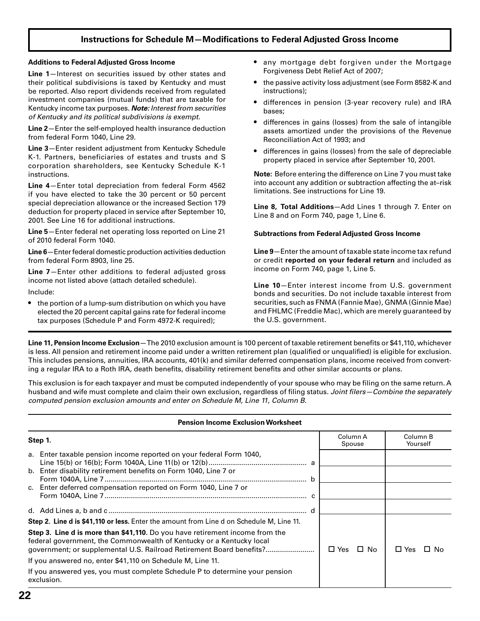### **Instructions for Schedule M-Modifications to Federal Adjusted Gross Income**

#### **Additions to Federal Adjusted Gross Income**

**Line 1**—Interest on securities issued by other states and their political subdivisions is taxed by Kentucky and must be reported. Also report dividends received from regulated investment companies (mutual funds) that are taxable for Kentucky income tax purposes. *Note: Interest from securities of Kentucky and its political subdivisions is exempt.* 

**Line 2**—Enter the self-employed health insurance deduction from federal Form 1040, Line 29.

**Line 3**—Enter resident adjustment from Kentucky Schedule K-1. Partners, beneficiaries of estates and trusts and S corporation shareholders, see Kentucky Schedule K-1 instructions.

**Line 4**—Enter total depreciation from federal Form 4562 if you have elected to take the 30 percent or 50 percent special depreciation allowance or the increased Section 179 deduction for property placed in service after September 10, 2001. See Line 16 for additional instructions.

**Line 5**—Enter federal net operating loss reported on Line 21 of 2010 federal Form 1040.

**Line 6**—Enter federal domestic production activities deduction from federal Form 8903, line 25.

**Line 7**—Enter other additions to federal adjusted gross income not listed above (attach detailed schedule).

Include:

• the portion of a lump-sum distribution on which you have elected the 20 percent capital gains rate for federal income tax purposes (Schedule P and Form 4972-K required);

- any mortgage debt forgiven under the Mortgage Forgiveness Debt Relief Act of 2007;
- the passive activity loss adjustment (see Form 8582-K and instructions);
- differences in pension (3-year recovery rule) and IRA bases;
- differences in gains (losses) from the sale of intangible assets amortized under the provisions of the Revenue Reconciliation Act of 1993; and
- differences in gains (losses) from the sale of depreciable property placed in service after September 10, 2001.

**Note:** Before entering the difference on Line 7 you must take into account any addition or subtraction affecting the at–risk limitations. See instructions for Line 19.

**Line 8, Total Additions**—Add Lines 1 through 7. Enter on Line 8 and on Form 740, page 1, Line 6.

#### **Subtractions from Federal Adjusted Gross Income**

**Line 9**—Enter the amount of taxable state income tax refund or credit **reported on your federal return** and included as income on Form 740, page 1, Line 5.

**Line 10**—Enter interest income from U.S. government bonds and securities. Do not include taxable interest from securities, such as FNMA (Fannie Mae), GNMA (Ginnie Mae) and FHLMC (Freddie Mac), which are merely guaranteed by the U.S. government.

Line 11, Pension Income Exclusion—The 2010 exclusion amount is 100 percent of taxable retirement benefits or \$41,110, whichever is less. All pension and retirement income paid under a written retirement plan (qualified or unqualified) is eligible for exclusion. This includes pensions, annuities, IRA accounts, 401(k) and similar deferred compensation plans, income received from converting a regular IRA to a Roth IRA, death benefits, disability retirement benefits and other similar accounts or plans.

This exclusion is for each taxpayer and must be computed independently of your spouse who may be filing on the same return. A husband and wife must complete and claim their own exclusion, regardless of filing status. Joint filers–Combine the separately *computed pension exclusion amounts and enter on Schedule M, Line 11, Column B.*

#### **Pension Income Exclusion Worksheet**

| Step 1.                                                                                                                                                                                                                      | Column A<br>Spouse   | Column B<br>Yourself |
|------------------------------------------------------------------------------------------------------------------------------------------------------------------------------------------------------------------------------|----------------------|----------------------|
| a. Enter taxable pension income reported on your federal Form 1040,<br>b. Enter disability retirement benefits on Form 1040, Line 7 or<br>c. Enter deferred compensation reported on Form 1040, Line 7 or                    |                      |                      |
|                                                                                                                                                                                                                              |                      |                      |
| Step 2. Line d is \$41,110 or less. Enter the amount from Line d on Schedule M, Line 11.                                                                                                                                     |                      |                      |
| Step 3. Line d is more than \$41,110. Do you have retirement income from the<br>federal government, the Commonwealth of Kentucky or a Kentucky local<br>government; or supplemental U.S. Railroad Retirement Board benefits? | $\Box$ Yes $\Box$ No | $\Box$ Yes<br>⊟ No   |
| If you answered no, enter \$41,110 on Schedule M, Line 11.                                                                                                                                                                   |                      |                      |
| If you answered yes, you must complete Schedule P to determine your pension<br>exclusion.                                                                                                                                    |                      |                      |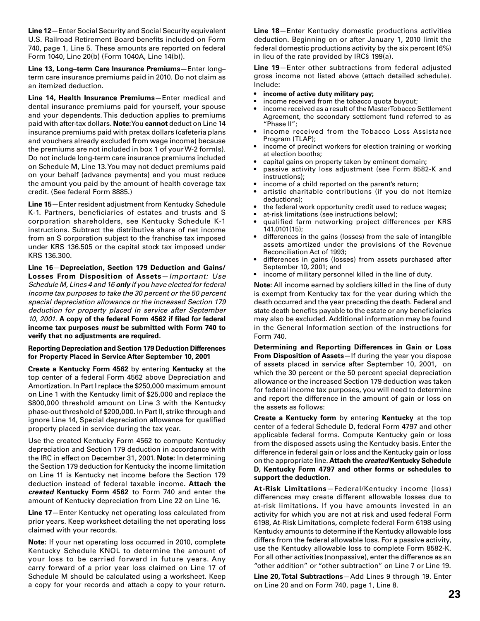**Line 12**—Enter Social Security and Social Security equivalent U.S. Railroad Retirement Board benefits included on Form 740, page 1, Line 5. These amounts are reported on federal Form 1040, Line 20(b) (Form 1040A, Line 14(b)).

**Line 13, Long–term Care Insurance Premiums**—Enter long– term care insurance premiums paid in 2010. Do not claim as an itemized deduction.

**Line 14, Health Insurance Premiums**—Enter medical and dental insurance premiums paid for yourself, your spouse and your dependents. This deduction applies to premiums paid with after-tax dollars. **Note:**You **cannot** deduct on Line 14 insurance premiums paid with pretax dollars (cafeteria plans and vouchers already excluded from wage income) because the premiums are not included in box 1 of your W-2 form(s). Do not include long-term care insurance premiums included on Schedule M, Line 13. You may not deduct premiums paid on your behalf (advance payments) and you must reduce the amount you paid by the amount of health coverage tax credit. (See federal Form 8885.)

**Line 15**—Enter resident adjustment from Kentucky Schedule K-1. Partners, beneficiaries of estates and trusts and S corporation shareholders, see Kentucky Schedule K-1 instructions. Subtract the distributive share of net income from an S corporation subject to the franchise tax imposed under KRS 136.505 or the capital stock tax imposed under KRS 136.300.

**Line 16**—**Depreciation, Section 179 Deduction and Gains/ Losses From Disposition of Assets**—*Important: Use Schedule M, Lines 4 and 16 only if you have elected for federal income tax purposes to take the 30 percent or the 50 percent special depreciation allowance or the increased Section 179 deduction for property placed in service after September*  10, 2001. A copy of the federal Form 4562 if filed for federal **income tax purposes** *must* **be submitted with Form 740 to verify that no adjustments are required***.*

#### **Reporting Depreciation and Section 179 Deduction Differences for Property Placed in Service After September 10, 2001**

**Create a Kentucky Form 4562** by entering **Kentucky** at the top center of a federal Form 4562 above Depreciation and Amortization. In Part I replace the \$250,000 maximum amount on Line 1 with the Kentucky limit of \$25,000 and replace the \$800,000 threshold amount on Line 3 with the Kentucky phase-out threshold of \$200,000. In Part II, strike through and ignore Line 14, Special depreciation allowance for qualified property placed in service during the tax year.

Use the created Kentucky Form 4562 to compute Kentucky depreciation and Section 179 deduction in accordance with the IRC in effect on December 31, 2001. **Note:** In determining the Section 179 deduction for Kentucky the income limitation on Line 11 is Kentucky net income before the Section 179 deduction instead of federal taxable income. **Attach the**  *created* **Kentucky Form 4562** to Form 740 and enter the amount of Kentucky depreciation from Line 22 on Line 16.

**Line 17**—Enter Kentucky net operating loss calculated from prior years. Keep worksheet detailing the net operating loss claimed with your records.

**Note:** If your net operating loss occurred in 2010, complete Kentucky Schedule KNOL to determine the amount of your loss to be carried forward in future years. Any carry forward of a prior year loss claimed on Line 17 of Schedule M should be calculated using a worksheet. Keep a copy for your records and attach a copy to your return.

**Line 18**—Enter Kentucky domestic productions activities deduction. Beginning on or after January 1, 2010 limit the federal domestic productions activity by the six percent (6%) in lieu of the rate provided by IRC§ 199(a).

**Line 19**—Enter other subtractions from federal adjusted gross income not listed above (attach detailed schedule). Include:

- **income of active duty military pay;**
- income received from the tobacco quota buyout;
- income received as a result of the Master Tobacco Settlement Agreement, the secondary settlement fund referred to as "Phase II";
- income received from the Tobacco Loss Assistance Program (TLAP);
- income of precinct workers for election training or working at election booths;
- capital gains on property taken by eminent domain;
- passive activity loss adjustment (see Form 8582-K and instructions);
- income of a child reported on the parent's return;
- artistic charitable contributions (if you do not itemize deductions);
- the federal work opportunity credit used to reduce wages;
- at-risk limitations (see instructions below);
- qualified farm networking project differences per KRS 141.0101(15);
- differences in the gains (losses) from the sale of intangible assets amortized under the provisions of the Revenue Reconciliation Act of 1993;
- differences in gains (losses) from assets purchased after September 10, 2001; and
- income of military personnel killed in the line of duty.

**Note:** All income earned by soldiers killed in the line of duty is exempt from Kentucky tax for the year during which the death occurred and the year preceding the death. Federal and state death benefits payable to the estate or any beneficiaries may also be excluded. Additional information may be found in the General Information section of the instructions for Form 740.

**Determining and Reporting Differences in Gain or Loss From Disposition of Assets**—If during the year you dispose of assets placed in service after September 10, 2001, on which the 30 percent or the 50 percent special depreciation allowance or the increased Section 179 deduction was taken for federal income tax purposes, you will need to determine and report the difference in the amount of gain or loss on the assets as follows:

**Create a Kentucky form** by entering **Kentucky** at the top center of a federal Schedule D, federal Form 4797 and other applicable federal forms. Compute Kentucky gain or loss from the disposed assets using the Kentucky basis. Enter the difference in federal gain or loss and the Kentucky gain or loss on the appropriate line. **Attach the** *created* **Kentucky Schedule D, Kentucky Form 4797 and other forms or schedules to support the deduction.**

**At-Risk Limitations**—Federal/Kentucky income (loss) differences may create different allowable losses due to at-risk limitations. If you have amounts invested in an activity for which you are not at risk and used federal Form 6198, At-Risk Limitations, complete federal Form 6198 using Kentucky amounts to determine if the Kentucky allowable loss differs from the federal allowable loss. For a passive activity, use the Kentucky allowable loss to complete Form 8582-K. For all other activities (nonpassive), enter the difference as an "other addition" or "other subtraction" on Line 7 or Line 19.

**Line 20, Total Subtractions**—Add Lines 9 through 19. Enter on Line 20 and on Form 740, page 1, Line 8.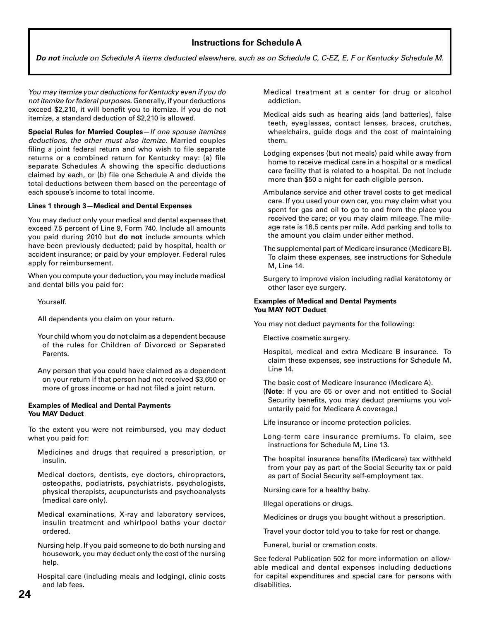### **Instructions for Schedule A**

*Do not include on Schedule A items deducted elsewhere, such as on Schedule C, C-EZ, E, F or Kentucky Schedule M.*

*You may itemize your deductions for Kentucky even if you do not itemize for federal purposes.* Generally, if your deductions exceed \$2,210, it will benefit you to itemize. If you do not itemize, a standard deduction of \$2,210 is allowed.

**Special Rules for Married Couples**—*If one spouse itemizes deductions, the other must also itemize.* Married couples filing a joint federal return and who wish to file separate returns or a combined return for Kentucky may: (a) file separate Schedules A showing the specific deductions claimed by each, or (b) file one Schedule A and divide the total deductions between them based on the percentage of each spouse's income to total income.

#### **Lines 1 through 3—Medical and Dental Expenses**

You may deduct only your medical and dental expenses that exceed 7.5 percent of Line 9, Form 740. Include all amounts you paid during 2010 but **do not** include amounts which have been previously deducted; paid by hospital, health or accident insurance; or paid by your employer. Federal rules apply for reimbursement.

When you compute your deduction, you may include medical and dental bills you paid for:

Yourself.

- All dependents you claim on your return.
- Your child whom you do not claim as a dependent because of the rules for Children of Divorced or Separated Parents.
- Any person that you could have claimed as a dependent on your return if that person had not received \$3,650 or more of gross income or had not filed a joint return.

#### **Examples of Medical and Dental Payments You MAY Deduct**

To the extent you were not reimbursed, you may deduct what you paid for:

- Medicines and drugs that required a prescription, or insulin.
- Medical doctors, dentists, eye doctors, chiropractors, osteopaths, podiatrists, psychiatrists, psychologists, physical therapists, acupuncturists and psychoanalysts (medical care only).
- Medical examinations, X-ray and laboratory services, insulin treatment and whirlpool baths your doctor ordered.
- Nursing help. If you paid someone to do both nursing and housework, you may deduct only the cost of the nursing help.

 Hospital care (including meals and lodging), clinic costs and lab fees.

- Medical treatment at a center for drug or alcohol addiction.
- Medical aids such as hearing aids (and batteries), false teeth, eyeglasses, contact lenses, braces, crutches, wheelchairs, guide dogs and the cost of maintaining them.
- Lodging expenses (but not meals) paid while away from home to receive medical care in a hospital or a medical care facility that is related to a hospital. Do not include more than \$50 a night for each eligible person.
- Ambulance service and other travel costs to get medical care. If you used your own car, you may claim what you spent for gas and oil to go to and from the place you received the care; or you may claim mileage. The mileage rate is 16.5 cents per mile. Add parking and tolls to the amount you claim under either method.
- The supplemental part of Medicare insurance (Medicare B). To claim these expenses, see instructions for Schedule M, Line 14.
- Surgery to improve vision including radial keratotomy or other laser eye surgery.

#### **Examples of Medical and Dental Payments You MAY NOT Deduct**

You may not deduct payments for the following:

Elective cosmetic surgery.

 Hospital, medical and extra Medicare B insurance. To claim these expenses, see instructions for Schedule M, Line 14.

The basic cost of Medicare insurance (Medicare A).

- (**Note**: If you are 65 or over and not entitled to Social Security benefits, you may deduct premiums you voluntarily paid for Medicare A coverage.)
- Life insurance or income protection policies.
- Long-term care insurance premiums. To claim, see instructions for Schedule M, Line 13.
- The hospital insurance benefits (Medicare) tax withheld from your pay as part of the Social Security tax or paid as part of Social Security self-employment tax.

Nursing care for a healthy baby.

Illegal operations or drugs.

Medicines or drugs you bought without a prescription.

Travel your doctor told you to take for rest or change.

Funeral, burial or cremation costs.

See federal Publication 502 for more information on allowable medical and dental expenses including deductions for capital expenditures and special care for persons with disabilities.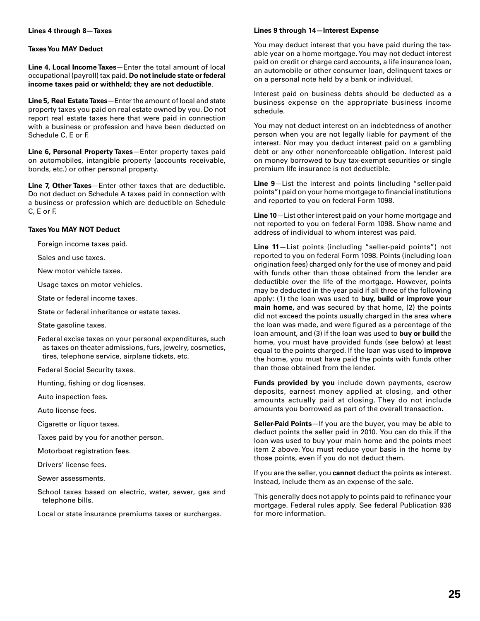#### **Lines 4 through 8—Taxes**

#### **Taxes You MAY Deduct**

**Line 4, Local Income Taxes**—Enter the total amount of local occupational (payroll) tax paid. **Do not include state or federal income taxes paid or withheld; they are not deductible**.

**Line 5, Real Estate Taxes**—Enter the amount of local and state property taxes you paid on real estate owned by you. Do not report real estate taxes here that were paid in connection with a business or profession and have been deducted on Schedule C, E or F.

**Line 6, Personal Property Taxes**—Enter property taxes paid on automobiles, intangible property (accounts receivable, bonds, etc.) or other personal property.

**Line 7, Other Taxes**—Enter other taxes that are deductible. Do not deduct on Schedule A taxes paid in connection with a business or profession which are deductible on Schedule C, E or F.

#### **Taxes You MAY NOT Deduct**

Foreign income taxes paid.

Sales and use taxes.

New motor vehicle taxes.

Usage taxes on motor vehicles.

State or federal income taxes.

State or federal inheritance or estate taxes.

State gasoline taxes.

 Federal excise taxes on your personal expenditures, such as taxes on theater admissions, furs, jewelry, cosmetics, tires, telephone service, airplane tickets, etc.

Federal Social Security taxes.

Hunting, fishing or dog licenses.

Auto inspection fees.

Auto license fees.

Cigarette or liquor taxes.

Taxes paid by you for another person.

Motorboat registration fees.

Drivers' license fees.

Sewer assessments.

 School taxes based on electric, water, sewer, gas and telephone bills.

Local or state insurance premiums taxes or surcharges.

#### **Lines 9 through 14—Interest Expense**

You may deduct interest that you have paid during the taxable year on a home mortgage. You may not deduct interest paid on credit or charge card accounts, a life insurance loan, an automobile or other consumer loan, delinquent taxes or on a personal note held by a bank or individual.

Interest paid on business debts should be deducted as a business expense on the appropriate business income schedule.

You may not deduct interest on an indebtedness of another person when you are not legally liable for payment of the interest. Nor may you deduct interest paid on a gambling debt or any other nonenforceable obligation. Interest paid on money borrowed to buy tax-exempt securities or single premium life insurance is not deductible.

**Line 9**—List the interest and points (including "seller-paid points") paid on your home mortgage to financial institutions and reported to you on federal Form 1098.

**Line 10**—List other interest paid on your home mortgage and not reported to you on federal Form 1098. Show name and address of individual to whom interest was paid.

**Line 11**—List points (including "seller-paid points") not reported to you on federal Form 1098. Points (including loan origination fees) charged only for the use of money and paid with funds other than those obtained from the lender are deductible over the life of the mortgage. However, points may be deducted in the year paid if all three of the following apply: (1) the loan was used to **buy, build or improve your main home,** and was secured by that home, (2) the points did not exceed the points usually charged in the area where the loan was made, and were figured as a percentage of the loan amount, and (3) if the loan was used to **buy or build** the home, you must have provided funds (see below) at least equal to the points charged. If the loan was used to **improve** the home, you must have paid the points with funds other than those obtained from the lender.

**Funds provided by you** include down payments, escrow deposits, earnest money applied at closing, and other amounts actually paid at closing. They do not include amounts you borrowed as part of the overall transaction.

**Seller-Paid Points**—If you are the buyer, you may be able to deduct points the seller paid in 2010. You can do this if the loan was used to buy your main home and the points meet item 2 above. You must reduce your basis in the home by those points, even if you do not deduct them.

If you are the seller, you **cannot** deduct the points as interest. Instead, include them as an expense of the sale.

This generally does not apply to points paid to refinance your mortgage. Federal rules apply. See federal Publication 936 for more information.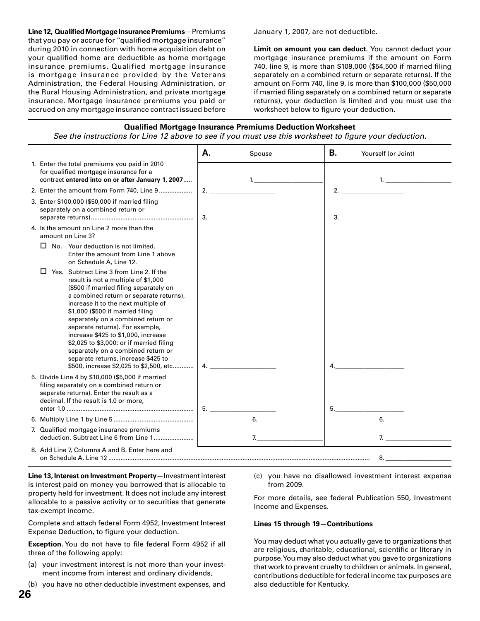**Line 12, Qualified Mortgage Insurance Premiums**—Premiums that you pay or accrue for "qualified mortgage insurance" during 2010 in connection with home acquisition debt on your qualified home are deductible as home mortgage insurance premiums. Qualified mortgage insurance is mortgage insurance provided by the Veterans Administration, the Federal Housing Administration, or the Rural Housing Administration, and private mortgage insurance. Mortgage insurance premiums you paid or accrued on any mortgage insurance contract issued before January 1, 2007, are not deductible.

**Limit on amount you can deduct.** You cannot deduct your mortgage insurance premiums if the amount on Form 740, line 9, is more than \$109,000 (\$54,500 if married filing separately on a combined return or separate returns). If the amount on Form 740, line 9, is more than \$100,000 (\$50,000 if married filing separately on a combined return or separate returns), your deduction is limited and you must use the worksheet below to figure your deduction.



#### **Qualified Mortgage Insurance Premiums Deduction Worksheet**

*See the instructions for Line 12 above to see if you must use this worksheet to figure your deduction.* 

**Line 13, Interest on Investment Property**—Investment interest is interest paid on money you borrowed that is allocable to property held for investment. It does not include any interest allocable to a passive activity or to securities that generate tax-exempt income.

Complete and attach federal Form 4952, Investment Interest Expense Deduction, to figure your deduction.

**Exception.** You do not have to file federal Form 4952 if all three of the following apply:

- (a) your investment interest is not more than your investment income from interest and ordinary dividends,
- (b) you have no other deductible investment expenses, and

(c) you have no disallowed investment interest expense from 2009.

For more details, see federal Publication 550, Investment Income and Expenses.

#### **Lines 15 through 19—Contributions**

You may deduct what you actually gave to organizations that are religious, charitable, educational, scientific or literary in purpose. You may also deduct what you gave to organizations that work to prevent cruelty to children or animals. In general, contributions deductible for federal income tax purposes are also deductible for Kentucky.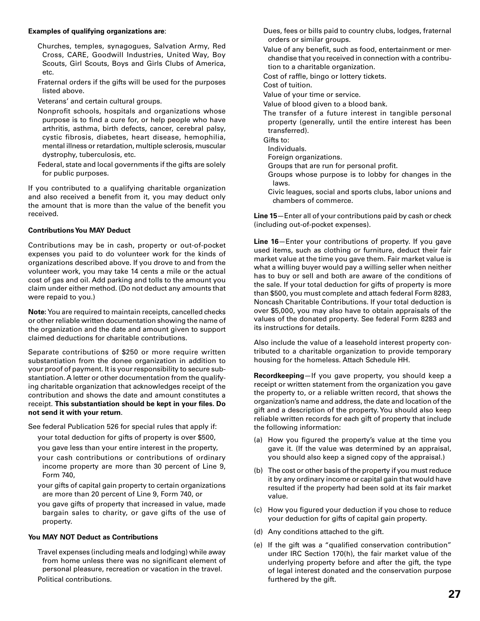#### **Examples of qualifying organizations are**:

- Churches, temples, synagogues, Salvation Army, Red Cross, CARE, Goodwill Industries, United Way, Boy Scouts, Girl Scouts, Boys and Girls Clubs of America, etc.
- Fraternal orders if the gifts will be used for the purposes listed above.
- Veterans' and certain cultural groups.
- Nonprofit schools, hospitals and organizations whose purpose is to find a cure for, or help people who have arthritis, asthma, birth defects, cancer, cerebral palsy, cystic fibrosis, diabetes, heart disease, hemophilia, mental illness or retardation, multiple sclerosis, muscular dystrophy, tuberculosis, etc.
- Federal, state and local governments if the gifts are solely for public purposes.

If you contributed to a qualifying charitable organization and also received a benefit from it, you may deduct only the amount that is more than the value of the benefit you received.

#### **Contributions You MAY Deduct**

Contributions may be in cash, property or out-of-pocket expenses you paid to do volunteer work for the kinds of organizations described above. If you drove to and from the volunteer work, you may take 14 cents a mile or the actual cost of gas and oil. Add parking and tolls to the amount you claim under either method. (Do not deduct any amounts that were repaid to you.)

**Note:** You are required to maintain receipts, cancelled checks or other reliable written documentation showing the name of the organization and the date and amount given to support claimed deductions for charitable contributions.

Separate contributions of \$250 or more require written substantiation from the donee organization in addition to your proof of payment. It is your responsibility to secure substantiation. A letter or other documentation from the qualifying charitable organization that acknowledges receipt of the contribution and shows the date and amount constitutes a receipt. This substantiation should be kept in your files. Do **not send it with your return**.

See federal Publication 526 for special rules that apply if:

- your total deduction for gifts of property is over \$500,
- you gave less than your entire interest in the property,
- your cash contributions or contributions of ordinary income property are more than 30 percent of Line 9, Form 740,
- your gifts of capital gain property to certain organizations are more than 20 percent of Line 9, Form 740, or
- you gave gifts of property that increased in value, made bargain sales to charity, or gave gifts of the use of property.

### **You MAY NOT Deduct as Contributions**

 Travel expenses (including meals and lodging) while away from home unless there was no significant element of personal pleasure, recreation or vacation in the travel. Political contributions.

- Dues, fees or bills paid to country clubs, lodges, fraternal orders or similar groups.
- Value of any benefit, such as food, entertainment or merchandise that you received in connection with a contribution to a charitable organization.
- Cost of raffle, bingo or lottery tickets.

Cost of tuition.

- Value of your time or service.
- Value of blood given to a blood bank.
- The transfer of a future interest in tangible personal property (generally, until the entire interest has been transferred).

Gifts to:

- Individuals.
- Foreign organizations.
- Groups that are run for personal profit.
- Groups whose purpose is to lobby for changes in the laws.
- Civic leagues, social and sports clubs, labor unions and chambers of commerce.

**Line 15**—Enter all of your contributions paid by cash or check (including out-of-pocket expenses).

**Line 16**—Enter your contributions of property. If you gave used items, such as clothing or furniture, deduct their fair market value at the time you gave them. Fair market value is what a willing buyer would pay a willing seller when neither has to buy or sell and both are aware of the conditions of the sale. If your total deduction for gifts of property is more than \$500, you must complete and attach federal Form 8283, Noncash Charitable Contributions. If your total deduction is over \$5,000, you may also have to obtain appraisals of the values of the donated property. See federal Form 8283 and its instructions for details.

Also include the value of a leasehold interest property contributed to a charitable organization to provide temporary housing for the homeless. Attach Schedule HH.

**Recordkeeping**—If you gave property, you should keep a receipt or written statement from the organization you gave the property to, or a reliable written record, that shows the organization's name and address, the date and location of the gift and a description of the property. You should also keep reliable written records for each gift of property that include the following information:

- (a) How you figured the property's value at the time you gave it. (If the value was determined by an appraisal, you should also keep a signed copy of the appraisal.)
- (b) The cost or other basis of the property if you must reduce it by any ordinary income or capital gain that would have resulted if the property had been sold at its fair market value.
- (c) How you figured your deduction if you chose to reduce your deduction for gifts of capital gain property.
- (d) Any conditions attached to the gift.
- (e) If the gift was a "qualified conservation contribution" under IRC Section 170(h), the fair market value of the underlying property before and after the gift, the type of legal interest donated and the conservation purpose furthered by the gift.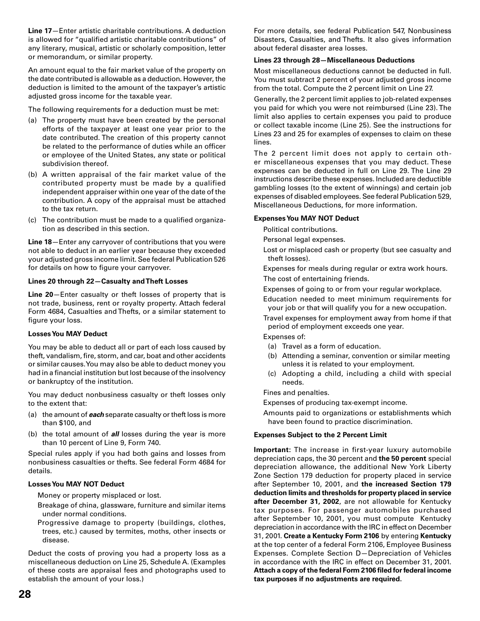**Line 17**—Enter artistic charitable contributions. A deduction is allowed for "qualified artistic charitable contributions" of any literary, musical, artistic or scholarly composition, letter or memorandum, or similar property.

An amount equal to the fair market value of the property on the date contributed is allowable as a deduction. However, the deduction is limited to the amount of the taxpayer's artistic adjusted gross income for the taxable year.

The following requirements for a deduction must be met:

- (a) The property must have been created by the personal efforts of the taxpayer at least one year prior to the date contributed. The creation of this property cannot be related to the performance of duties while an officer or employee of the United States, any state or political subdivision thereof.
- (b) A written appraisal of the fair market value of the contributed property must be made by a qualified independent appraiser within one year of the date of the contribution. A copy of the appraisal must be attached to the tax return.
- (c) The contribution must be made to a qualified organization as described in this section.

**Line 18**—Enter any carryover of contributions that you were not able to deduct in an earlier year because they exceeded your adjusted gross income limit. See federal Publication 526 for details on how to figure your carryover.

#### **Lines 20 through 22—Casualty and Theft Losses**

**Line 20**—Enter casualty or theft losses of property that is not trade, business, rent or royalty property. Attach federal Form 4684, Casualties and Thefts, or a similar statement to figure your loss.

#### **Losses You MAY Deduct**

You may be able to deduct all or part of each loss caused by theft, vandalism, fire, storm, and car, boat and other accidents or similar causes. You may also be able to deduct money you had in a financial institution but lost because of the insolvency or bankruptcy of the institution.

You may deduct nonbusiness casualty or theft losses only to the extent that:

- (a) the amount of *each* separate casualty or theft loss is more than \$100, and
- (b) the total amount of *all* losses during the year is more than 10 percent of Line 9, Form 740.

Special rules apply if you had both gains and losses from nonbusiness casualties or thefts. See federal Form 4684 for details.

#### **Losses You MAY NOT Deduct**

Money or property misplaced or lost.

- Breakage of china, glassware, furniture and similar items under normal conditions.
- Progressive damage to property (buildings, clothes, trees, etc.) caused by termites, moths, other insects or disease.

Deduct the costs of proving you had a property loss as a miscellaneous deduction on Line 25, Schedule A. (Examples of these costs are appraisal fees and photographs used to establish the amount of your loss.)

For more details, see federal Publication 547, Nonbusiness Disasters, Casualties, and Thefts. It also gives information about federal disaster area losses.

#### **Lines 23 through 28—Miscellaneous Deductions**

Most miscellaneous deductions cannot be deducted in full. You must subtract 2 percent of your adjusted gross income from the total. Compute the 2 percent limit on Line 27.

Generally, the 2 percent limit applies to job-related expenses you paid for which you were not reimbursed (Line 23). The limit also applies to certain expenses you paid to produce or collect taxable income (Line 25). See the instructions for Lines 23 and 25 for examples of expenses to claim on these lines.

The 2 percent limit does not apply to certain other miscellaneous expenses that you may deduct. These expenses can be deducted in full on Line 29. The Line 29 instructions describe these expenses. Included are deductible gambling losses (to the extent of winnings) and certain job expenses of disabled employees. See federal Publication 529, Miscellaneous Deductions, for more information.

#### **Expenses You MAY NOT Deduct**

Political contributions.

- Personal legal expenses.
- Lost or misplaced cash or property (but see casualty and theft losses).

 Expenses for meals during regular or extra work hours. The cost of entertaining friends.

Expenses of going to or from your regular workplace.

 Education needed to meet minimum requirements for your job or that will qualify you for a new occupation.

 Travel expenses for employment away from home if that period of employment exceeds one year.

Expenses of:

- (a) Travel as a form of education.
- (b) Attending a seminar, convention or similar meeting unless it is related to your employment.
- (c) Adopting a child, including a child with special needs.

Fines and penalties.

Expenses of producing tax-exempt income.

 Amounts paid to organizations or establishments which have been found to practice discrimination.

#### **Expenses Subject to the 2 Percent Limit**

**Important:** The increase in first-year luxury automobile depreciation caps, the 30 percent and **the 50 percent** special depreciation allowance, the additional New York Liberty Zone Section 179 deduction for property placed in service after September 10, 2001, and **the increased Section 179 deduction limits and thresholds for property placed in service after December 31, 2002**, are not allowable for Kentucky tax purposes. For passenger automobiles purchased after September 10, 2001, you must compute Kentucky depreciation in accordance with the IRC in effect on December 31, 2001. **Create a Kentucky Form 2106** by entering **Kentucky** at the top center of a federal Form 2106, Employee Business Expenses. Complete Section D—Depreciation of Vehicles in accordance with the IRC in effect on December 31, 2001. **Attach a copy of the federal Form 2106 fi led for federal income tax purposes if no adjustments are required.**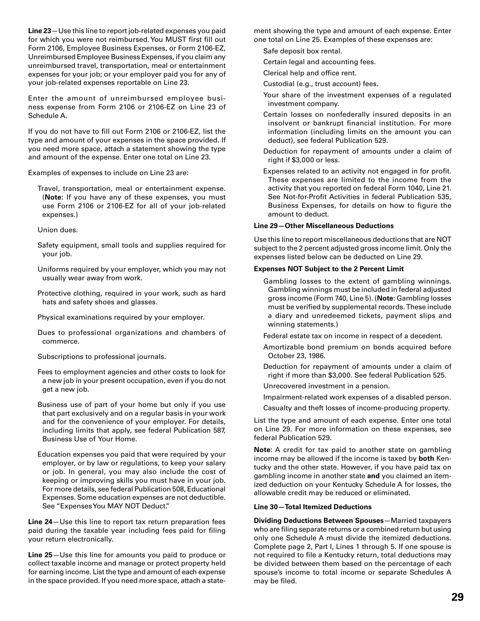**Line 23**—Use this line to report job-related expenses you paid for which you were not reimbursed. You MUST first fill out Form 2106, Employee Business Expenses, or Form 2106-EZ, Unreimbursed Employee Business Expenses, if you claim any unreimbursed travel, transportation, meal or entertainment expenses for your job; or your employer paid you for any of your job-related expenses reportable on Line 23.

Enter the amount of unreimbursed employee business expense from Form 2106 or 2106-EZ on Line 23 of Schedule A.

If you do not have to fill out Form 2106 or 2106-EZ, list the type and amount of your expenses in the space provided. If you need more space, attach a statement showing the type and amount of the expense. Enter one total on Line 23.

Examples of expenses to include on Line 23 are:

 Travel, transportation, meal or entertainment expense. (**Note:** If you have any of these expenses, you must use Form 2106 or 2106-EZ for all of your job-related expenses.)

Union dues.

- Safety equipment, small tools and supplies required for your job.
- Uniforms required by your employer, which you may not usually wear away from work.
- Protective clothing, required in your work, such as hard hats and safety shoes and glasses.
- Physical examinations required by your employer.
- Dues to professional organizations and chambers of commerce.
- Subscriptions to professional journals.
- Fees to employment agencies and other costs to look for a new job in your present occupation, even if you do not get a new job.
- Business use of part of your home but only if you use that part exclusively and on a regular basis in your work and for the convenience of your employer. For details, including limits that apply, see federal Publication 587, Business Use of Your Home.
- Education expenses you paid that were required by your employer, or by law or regulations, to keep your salary or job. In general, you may also include the cost of keeping or improving skills you must have in your job. For more details, see federal Publication 508, Educational Expenses. Some education expenses are not deductible. See "Expenses You MAY NOT Deduct."

**Line 24**—Use this line to report tax return preparation fees paid during the taxable year including fees paid for filing your return electronically.

**Line 25**—Use this line for amounts you paid to produce or collect taxable income and manage or protect property held for earning income. List the type and amount of each expense in the space provided. If you need more space, attach a statement showing the type and amount of each expense. Enter one total on Line 25. Examples of these expenses are:

Safe deposit box rental.

- Certain legal and accounting fees.
- Clerical help and office rent.
- Custodial (e.g., trust account) fees.
- Your share of the investment expenses of a regulated investment company.
- Certain losses on nonfederally insured deposits in an insolvent or bankrupt financial institution. For more information (including limits on the amount you can deduct), see federal Publication 529.
- Deduction for repayment of amounts under a claim of right if \$3,000 or less.
- Expenses related to an activity not engaged in for profit. These expenses are limited to the income from the activity that you reported on federal Form 1040, Line 21. See Not-for-Profit Activities in federal Publication 535, Business Expenses, for details on how to figure the amount to deduct.

#### **Line 29—Other Miscellaneous Deductions**

Use this line to report miscellaneous deductions that are NOT subject to the 2 percent adjusted gross income limit. Only the expenses listed below can be deducted on Line 29.

#### **Expenses NOT Subject to the 2 Percent Limit**

- Gambling losses to the extent of gambling winnings. Gambling winnings must be included in federal adjusted gross income (Form 740, Line 5). (**Note**: Gambling losses must be verified by supplemental records. These include a diary and unredeemed tickets, payment slips and winning statements.)
- Federal estate tax on income in respect of a decedent.
- Amortizable bond premium on bonds acquired before October 23, 1986.
- Deduction for repayment of amounts under a claim of right if more than \$3,000. See federal Publication 525.
- Unrecovered investment in a pension.
- Impairment-related work expenses of a disabled person.
- Casualty and theft losses of income-producing property.

List the type and amount of each expense. Enter one total on Line 29. For more information on these expenses, see federal Publication 529.

**Note:** A credit for tax paid to another state on gambling income may be allowed if the income is taxed by **both** Kentucky and the other state. However, if you have paid tax on gambling income in another state **and** you claimed an itemized deduction on your Kentucky Schedule A for losses, the allowable credit may be reduced or eliminated.

#### **Line 30—Total Itemized Deductions**

**Dividing Deductions Between Spouses**—Married taxpayers who are filing separate returns or a combined return but using only one Schedule A must divide the itemized deductions. Complete page 2, Part I, Lines 1 through 5. If one spouse is not required to file a Kentucky return, total deductions may be divided between them based on the percentage of each spouse's income to total income or separate Schedules A may be filed.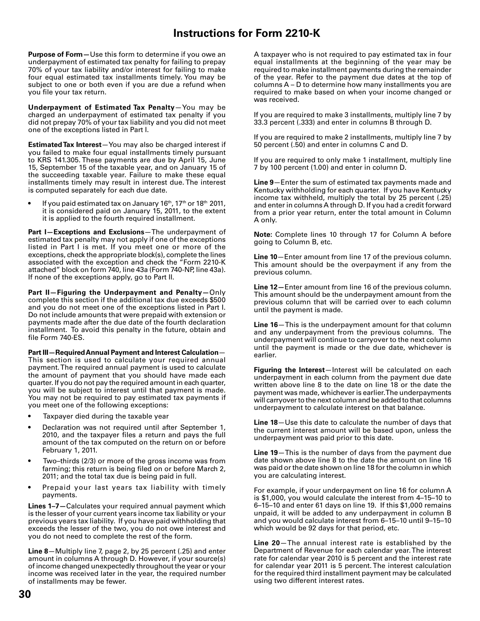### **Instructions for Form 2210-K**

**Purpose of Form—**Use this form to determine if you owe an underpayment of estimated tax penalty for failing to prepay 70% of your tax liability and/or interest for failing to make four equal estimated tax installments timely. You may be subject to one or both even if you are due a refund when you file your tax return.

**Underpayment of Estimated Tax Penalty**—You may be charged an underpayment of estimated tax penalty if you did not prepay 70% of your tax liability and you did not meet one of the exceptions listed in Part I.

**Estimated Tax Interest**—You may also be charged interest if you failed to make four equal installments timely pursuant to KRS 141.305. These payments are due by April 15, June 15, September 15 of the taxable year, and on January 15 of the succeeding taxable year. Failure to make these equal installments timely may result in interest due. The interest is computed separately for each due date.

If you paid estimated tax on January 16th, 17th or 18th 2011, it is considered paid on January 15, 2011, to the extent it is applied to the fourth required installment.

**Part I—Exceptions and Exclusions**—The underpayment of estimated tax penalty may not apply if one of the exceptions listed in Part I is met. If you meet one or more of the exceptions, check the appropriate block(s), complete the lines associated with the exception and check the "Form 2210-K attached" block on form 740, line 43a (Form 740-NP, line 43a). If none of the exceptions apply, go to Part II.

**Part II—Figuring the Underpayment and Penalty—**Only complete this section if the additional tax due exceeds \$500 and you do not meet one of the exceptions listed in Part I. Do not include amounts that were prepaid with extension or payments made after the due date of the fourth declaration installment. To avoid this penalty in the future, obtain and file Form 740-ES.

**Part III—Required Annual Payment and Interest Calculation**— This section is used to calculate your required annual payment. The required annual payment is used to calculate the amount of payment that you should have made each quarter. If you do not pay the required amount in each quarter, you will be subject to interest until that payment is made. You may not be required to pay estimated tax payments if you meet one of the following exceptions:

- Taxpayer died during the taxable year
- Declaration was not required until after September 1, 2010, and the taxpayer files a return and pays the full amount of the tax computed on the return on or before February 1, 2011.
- Two–thirds (2/3) or more of the gross income was from farming; this return is being filed on or before March 2, 2011; and the total tax due is being paid in full.
- Prepaid your last years tax liability with timely payments.

**Lines 1–7—**Calculates your required annual payment which is the lesser of your current years income tax liability or your previous years tax liability. If you have paid withholding that exceeds the lesser of the two, you do not owe interest and you do not need to complete the rest of the form.

**Line 8**—Multiply line 7, page 2, by 25 percent (.25) and enter amount in columns A through D. However, if your source(s) of income changed unexpectedly throughout the year or your income was received later in the year, the required number of installments may be fewer.

A taxpayer who is not required to pay estimated tax in four equal installments at the beginning of the year may be required to make installment payments during the remainder of the year. Refer to the payment due dates at the top of columns A – D to determine how many installments you are required to make based on when your income changed or was received.

If you are required to make 3 installments, multiply line 7 by 33.3 percent (.333) and enter in columns B through D.

If you are required to make 2 installments, multiply line 7 by 50 percent (.50) and enter in columns C and D.

If you are required to only make 1 installment, multiply line 7 by 100 percent (1.00) and enter in column D.

**Line 9**—Enter the sum of estimated tax payments made and Kentucky withholding for each quarter. If you have Kentucky income tax withheld, multiply the total by 25 percent (.25) and enter in columns A through D. If you had a credit forward from a prior year return, enter the total amount in Column A only.

**Note:** Complete lines 10 through 17 for Column A before going to Column B, etc.

**Line 10**—Enter amount from line 17 of the previous column. This amount should be the overpayment if any from the previous column.

**Line 12—**Enter amount from line 16 of the previous column. This amount should be the underpayment amount from the previous column that will be carried over to each column until the payment is made.

**Line 16**—This is the underpayment amount for that column and any underpayment from the previous columns. The underpayment will continue to carryover to the next column until the payment is made or the due date, whichever is earlier.

**Figuring the Interest**—Interest will be calculated on each underpayment in each column from the payment due date written above line 8 to the date on line 18 or the date the payment was made, whichever is earlier. The underpayments will carryover to the next column and be added to that columns underpayment to calculate interest on that balance.

**Line 18**—Use this date to calculate the number of days that the current interest amount will be based upon, unless the underpayment was paid prior to this date.

**Line 19**—This is the number of days from the payment due date shown above line 8 to the date the amount on line 16 was paid or the date shown on line 18 for the column in which you are calculating interest.

For example, if your underpayment on line 16 for column A is \$1,000, you would calculate the interest from 4–15–10 to 6–15–10 and enter 61 days on line 19. If this \$1,000 remains unpaid, it will be added to any underpayment in column B and you would calculate interest from 6–15–10 until 9–15–10 which would be 92 days for that period, etc.

**Line 20**—The annual interest rate is established by the Department of Revenue for each calendar year. The interest rate for calendar year 2010 is 5 percent and the interest rate for calendar year 2011 is 5 percent. The interest calculation for the required third installment payment may be calculated using two different interest rates.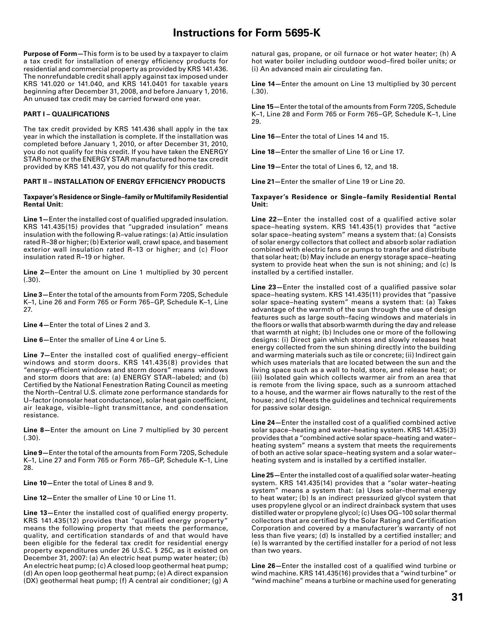### **Instructions for Form 5695-K**

**Purpose of Form—**This form is to be used by a taxpayer to claim a tax credit for installation of energy efficiency products for residential and commercial property as provided by KRS 141.436. The nonrefundable credit shall apply against tax imposed under KRS 141.020 or 141.040, and KRS 141.0401 for taxable years beginning after December 31, 2008, and before January 1, 2016. An unused tax credit may be carried forward one year.

#### **PART I – QUALIFICATIONS**

The tax credit provided by KRS 141.436 shall apply in the tax year in which the installation is complete. If the installation was completed before January 1, 2010, or after December 31, 2010, you do not qualify for this credit. If you have taken the ENERGY STAR home or the ENERGY STAR manufactured home tax credit provided by KRS 141.437, you do not qualify for this credit.

#### **PART II – INSTALLATION OF ENERGY EFFICIENCY PRODUCTS**

#### **Taxpayer's Residence or Single–family or Multifamily Residential Rental Unit:**

**Line 1–Enter the installed cost of qualified upgraded insulation.** KRS 141.435(15) provides that "upgraded insulation" means insulation with the following R–value ratings: (a) Attic insulation rated R–38 or higher; (b) Exterior wall, crawl space, and basement exterior wall insulation rated R–13 or higher; and (c) Floor insulation rated R–19 or higher.

**Line 2—**Enter the amount on Line 1 multiplied by 30 percent  $(.30).$ 

**Line 3—**Enter the total of the amounts from Form 720S, Schedule K–1, Line 26 and Form 765 or Form 765–GP, Schedule K–1, Line 27.

**Line 4—**Enter the total of Lines 2 and 3.

**Line 6—**Enter the smaller of Line 4 or Line 5.

**Line 7–Enter the installed cost of qualified energy–efficient** windows and storm doors. KRS 141.435(8) provides that "energy-efficient windows and storm doors" means windows and storm doors that are: (a) ENERGY STAR–labeled; and (b) Certified by the National Fenestration Rating Council as meeting the North–Central U.S. climate zone performance standards for U-factor (nonsolar heat conductance), solar heat gain coefficient, air leakage, visible–light transmittance, and condensation resistance.

**Line 8—**Enter the amount on Line 7 multiplied by 30 percent  $(.30)$ .

**Line 9—**Enter the total of the amounts from Form 720S, Schedule K–1, Line 27 and Form 765 or Form 765–GP, Schedule K–1, Line 28.

**Line 10—**Enter the total of Lines 8 and 9.

**Line 12—**Enter the smaller of Line 10 or Line 11.

Line 13-Enter the installed cost of qualified energy property. KRS 141.435(12) provides that "qualified energy property" means the following property that meets the performance, quality, and certification standards of and that would have been eligible for the federal tax credit for residential energy property expenditures under 26 U.S.C. § 25C, as it existed on December 31, 2007: (a) An electric heat pump water heater; (b) An electric heat pump; (c) A closed loop geothermal heat pump; (d) An open loop geothermal heat pump; (e) A direct expansion (DX) geothermal heat pump; (f) A central air conditioner; (g) A

natural gas, propane, or oil furnace or hot water heater; (h) A hot water boiler including outdoor wood-fired boiler units; or (i) An advanced main air circulating fan.

**Line 14—**Enter the amount on Line 13 multiplied by 30 percent  $(.30)$ .

**Line 15—**Enter the total of the amounts from Form 720S, Schedule K–1, Line 28 and Form 765 or Form 765–GP, Schedule K–1, Line 29.

**Line 16—**Enter the total of Lines 14 and 15.

**Line 18—**Enter the smaller of Line 16 or Line 17.

**Line 19—**Enter the total of Lines 6, 12, and 18.

**Line 21—**Enter the smaller of Line 19 or Line 20.

#### **Taxpayer's Residence or Single–family Residential Rental Unit:**

**Line 22—**Enter the installed cost of a qualified active solar space–heating system. KRS 141.435(1) provides that "active solar space–heating system" means a system that: (a) Consists of solar energy collectors that collect and absorb solar radiation combined with electric fans or pumps to transfer and distribute that solar heat; (b) May include an energy storage space–heating system to provide heat when the sun is not shining; and (c) Is installed by a certified installer.

**Line 23**—Enter the installed cost of a qualified passive solar space–heating system. KRS 141.435(11) provides that "passive solar space–heating system" means a system that: (a) Takes advantage of the warmth of the sun through the use of design features such as large south–facing windows and materials in the floors or walls that absorb warmth during the day and release that warmth at night; (b) Includes one or more of the following designs: (i) Direct gain which stores and slowly releases heat energy collected from the sun shining directly into the building and warming materials such as tile or concrete; (ii) Indirect gain which uses materials that are located between the sun and the living space such as a wall to hold, store, and release heat; or (iii) Isolated gain which collects warmer air from an area that is remote from the living space, such as a sunroom attached to a house, and the warmer air flows naturally to the rest of the house; and (c) Meets the guidelines and technical requirements for passive solar design.

Line 24-Enter the installed cost of a qualified combined active solar space–heating and water–heating system. KRS 141.435(3) provides that a "combined active solar space–heating and water– heating system" means a system that meets the requirements of both an active solar space–heating system and a solar water– heating system and is installed by a certified installer.

Line 25 – Enter the installed cost of a qualified solar water-heating system. KRS 141.435(14) provides that a "solar water–heating system" means a system that: (a) Uses solar–thermal energy to heat water; (b) Is an indirect pressurized glycol system that uses propylene glycol or an indirect drainback system that uses distilled water or propylene glycol; (c) Uses OG–100 solar thermal collectors that are certified by the Solar Rating and Certification Corporation and covered by a manufacturer's warranty of not less than five years; (d) Is installed by a certified installer; and (e) Is warranted by the certified installer for a period of not less than two years.

Line 26-Enter the installed cost of a qualified wind turbine or wind machine. KRS 141.435(16) provides that a "wind turbine" or "wind machine" means a turbine or machine used for generating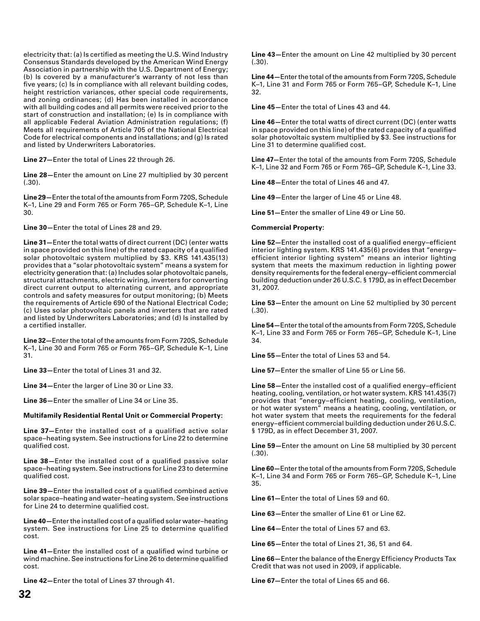electricity that: (a) Is certified as meeting the U.S. Wind Industry Consensus Standards developed by the American Wind Energy Association in partnership with the U.S. Department of Energy; (b) Is covered by a manufacturer's warranty of not less than five years; (c) Is in compliance with all relevant building codes, height restriction variances, other special code requirements, and zoning ordinances; (d) Has been installed in accordance with all building codes and all permits were received prior to the start of construction and installation; (e) Is in compliance with all applicable Federal Aviation Administration regulations; (f) Meets all requirements of Article 705 of the National Electrical Code for electrical components and installations; and (g) Is rated and listed by Underwriters Laboratories.

**Line 27—**Enter the total of Lines 22 through 26.

**Line 28—**Enter the amount on Line 27 multiplied by 30 percent  $(.30).$ 

**Line 29—**Enter the total of the amounts from Form 720S, Schedule K–1, Line 29 and Form 765 or Form 765–GP, Schedule K–1, Line 30.

**Line 30—**Enter the total of Lines 28 and 29.

**Line 31—**Enter the total watts of direct current (DC) (enter watts in space provided on this line) of the rated capacity of a qualified solar photovoltaic system multiplied by \$3. KRS 141.435(13) provides that a "solar photovoltaic system" means a system for electricity generation that: (a) Includes solar photovoltaic panels, structural attachments, electric wiring, inverters for converting direct current output to alternating current, and appropriate controls and safety measures for output monitoring; (b) Meets the requirements of Article 690 of the National Electrical Code; (c) Uses solar photovoltaic panels and inverters that are rated and listed by Underwriters Laboratories; and (d) Is installed by a certified installer.

**Line 32—**Enter the total of the amounts from Form 720S, Schedule K–1, Line 30 and Form 765 or Form 765–GP, Schedule K–1, Line 31.

**Line 33—**Enter the total of Lines 31 and 32.

**Line 34—**Enter the larger of Line 30 or Line 33.

**Line 36—**Enter the smaller of Line 34 or Line 35.

#### **Multifamily Residential Rental Unit or Commercial Property:**

**Line 37—**Enter the installed cost of a qualified active solar space–heating system. See instructions for Line 22 to determine qualified cost.

Line 38-Enter the installed cost of a qualified passive solar space–heating system. See instructions for Line 23 to determine qualified cost.

**Line 39**-Enter the installed cost of a qualified combined active solar space–heating and water–heating system. See instructions for Line 24 to determine qualified cost.

Line 40-Enter the installed cost of a qualified solar water-heating system. See instructions for Line 25 to determine qualified cost.

**Line 41–Enter the installed cost of a qualified wind turbine or** wind machine. See instructions for Line 26 to determine qualified cost.

**Line 42—**Enter the total of Lines 37 through 41.

**Line 43—**Enter the amount on Line 42 multiplied by 30 percent (.30).

**Line 44—**Enter the total of the amounts from Form 720S, Schedule K–1, Line 31 and Form 765 or Form 765–GP, Schedule K–1, Line 32.

**Line 45—**Enter the total of Lines 43 and 44.

**Line 46—**Enter the total watts of direct current (DC) (enter watts in space provided on this line) of the rated capacity of a qualified solar photovoltaic system multiplied by \$3. See instructions for Line 31 to determine qualified cost.

**Line 47—**Enter the total of the amounts from Form 720S, Schedule K–1, Line 32 and Form 765 or Form 765–GP, Schedule K–1, Line 33.

**Line 48—**Enter the total of Lines 46 and 47.

**Line 49—**Enter the larger of Line 45 or Line 48.

**Line 51—**Enter the smaller of Line 49 or Line 50.

#### **Commercial Property:**

**Line 52–Enter the installed cost of a qualified energy–efficient** interior lighting system. KRS 141.435(6) provides that "energy– efficient interior lighting system" means an interior lighting system that meets the maximum reduction in lighting power density requirements for the federal energy–efficient commercial building deduction under 26 U.S.C. § 179D, as in effect December 31, 2007.

**Line 53—**Enter the amount on Line 52 multiplied by 30 percent  $(.30)$ .

**Line 54—**Enter the total of the amounts from Form 720S, Schedule K–1, Line 33 and Form 765 or Form 765–GP, Schedule K–1, Line 34.

**Line 55—**Enter the total of Lines 53 and 54.

**Line 57—**Enter the smaller of Line 55 or Line 56.

**Line 58—Enter the installed cost of a qualified energy–efficient** heating, cooling, ventilation, or hot water system. KRS 141.435(7) provides that "energy-efficient heating, cooling, ventilation, or hot water system" means a heating, cooling, ventilation, or hot water system that meets the requirements for the federal energy-efficient commercial building deduction under 26 U.S.C. § 179D, as in effect December 31, 2007.

**Line 59—**Enter the amount on Line 58 multiplied by 30 percent  $(.30).$ 

**Line 60—**Enter the total of the amounts from Form 720S, Schedule K–1, Line 34 and Form 765 or Form 765–GP, Schedule K–1, Line 35.

**Line 61—**Enter the total of Lines 59 and 60.

**Line 63—**Enter the smaller of Line 61 or Line 62.

**Line 64—**Enter the total of Lines 57 and 63.

**Line 65—**Enter the total of Lines 21, 36, 51 and 64.

**Line 66** – Enter the balance of the Energy Efficiency Products Tax Credit that was not used in 2009, if applicable.

**Line 67—**Enter the total of Lines 65 and 66.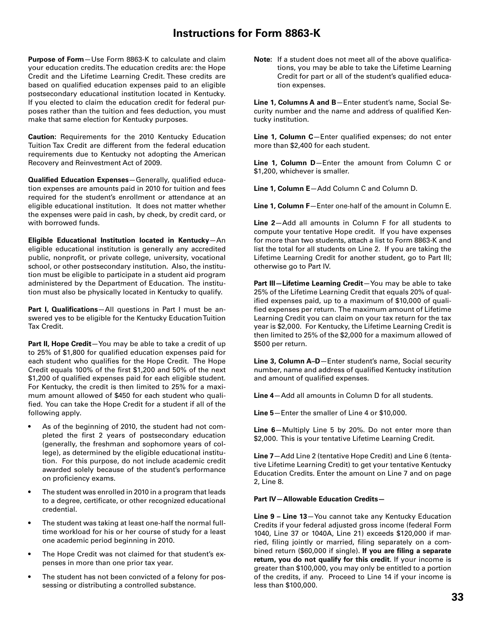### **Instructions for Form 8863-K**

**Purpose of Form**—Use Form 8863-K to calculate and claim your education credits. The education credits are: the Hope Credit and the Lifetime Learning Credit. These credits are based on qualified education expenses paid to an eligible postsecondary educational institution located in Kentucky. If you elected to claim the education credit for federal purposes rather than the tuition and fees deduction, you must make that same election for Kentucky purposes.

**Caution:** Requirements for the 2010 Kentucky Education Tuition Tax Credit are different from the federal education requirements due to Kentucky not adopting the American Recovery and Reinvestment Act of 2009.

**Qualified Education Expenses**-Generally, qualified education expenses are amounts paid in 2010 for tuition and fees required for the student's enrollment or attendance at an eligible educational institution. It does not matter whether the expenses were paid in cash, by check, by credit card, or with borrowed funds.

**Eligible Educational Institution located in Kentucky**—An eligible educational institution is generally any accredited public, nonprofit, or private college, university, vocational school, or other postsecondary institution. Also, the institution must be eligible to participate in a student aid program administered by the Department of Education. The institution must also be physically located in Kentucky to qualify.

Part I, Qualifications-All questions in Part I must be answered yes to be eligible for the Kentucky Education Tuition Tax Credit.

Part II, Hope Credit-You may be able to take a credit of up to 25% of \$1,800 for qualified education expenses paid for each student who qualifies for the Hope Credit. The Hope Credit equals 100% of the first \$1,200 and 50% of the next \$1,200 of qualified expenses paid for each eligible student. For Kentucky, the credit is then limited to 25% for a maximum amount allowed of \$450 for each student who qualified. You can take the Hope Credit for a student if all of the following apply.

- As of the beginning of 2010, the student had not completed the first 2 years of postsecondary education (generally, the freshman and sophomore years of college), as determined by the eligible educational institution. For this purpose, do not include academic credit awarded solely because of the student's performance on proficiency exams.
- The student was enrolled in 2010 in a program that leads to a degree, certificate, or other recognized educational credential.
- The student was taking at least one-half the normal fulltime workload for his or her course of study for a least one academic period beginning in 2010.
- The Hope Credit was not claimed for that student's expenses in more than one prior tax year.
- The student has not been convicted of a felony for possessing or distributing a controlled substance.

**Note:** If a student does not meet all of the above qualifications, you may be able to take the Lifetime Learning Credit for part or all of the student's qualified education expenses.

**Line 1, Columns A and B**—Enter student's name, Social Security number and the name and address of qualified Kentucky institution.

Line 1, Column C-Enter qualified expenses; do not enter more than \$2,400 for each student.

**Line 1, Column D**—Enter the amount from Column C or \$1,200, whichever is smaller.

**Line 1, Column E**—Add Column C and Column D.

**Line 1, Column F**—Enter one-half of the amount in Column E.

**Line 2**—Add all amounts in Column F for all students to compute your tentative Hope credit. If you have expenses for more than two students, attach a list to Form 8863-K and list the total for all students on Line 2. If you are taking the Lifetime Learning Credit for another student, go to Part III; otherwise go to Part IV.

**Part III—Lifetime Learning Credit**—You may be able to take 25% of the Lifetime Learning Credit that equals 20% of qualified expenses paid, up to a maximum of \$10,000 of qualified expenses per return. The maximum amount of Lifetime Learning Credit you can claim on your tax return for the tax year is \$2,000. For Kentucky, the Lifetime Learning Credit is then limited to 25% of the \$2,000 for a maximum allowed of \$500 per return.

**Line 3, Column A–D**—Enter student's name, Social security number, name and address of qualified Kentucky institution and amount of qualified expenses.

**Line 4**—Add all amounts in Column D for all students.

**Line 5**—Enter the smaller of Line 4 or \$10,000.

**Line 6**—Multiply Line 5 by 20%. Do not enter more than \$2,000. This is your tentative Lifetime Learning Credit.

**Line 7**—Add Line 2 (tentative Hope Credit) and Line 6 (tentative Lifetime Learning Credit) to get your tentative Kentucky Education Credits. Enter the amount on Line 7 and on page 2, Line 8.

#### **Part IV—Allowable Education Credits—**

**Line 9 – Line 13**—You cannot take any Kentucky Education Credits if your federal adjusted gross income (federal Form 1040, Line 37 or 1040A, Line 21) exceeds \$120,000 if married, filing jointly or married, filing separately on a combined return (\$60,000 if single). If you are filing a separate **return, you do not qualify for this credit.** If your income is greater than \$100,000, you may only be entitled to a portion of the credits, if any. Proceed to Line 14 if your income is less than \$100,000.